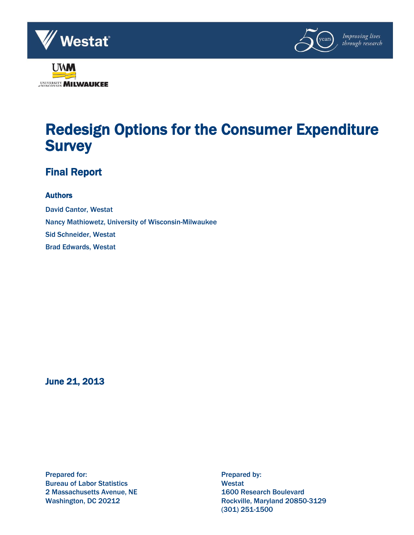





# Redesign Options for the Consumer Expenditure **Survey**

# Final Report

#### Authors

David Cantor, Westat Nancy Mathiowetz, University of Wisconsin-Milwaukee Sid Schneider, Westat Brad Edwards, Westat

#### June 21, 2013

Prepared for: Bureau of Labor Statistics 2 Massachusetts Avenue, NE Washington, DC 20212

Prepared by: **Westat** 1600 Research Boulevard Rockville, Maryland 20850-3129 (301) 251-1500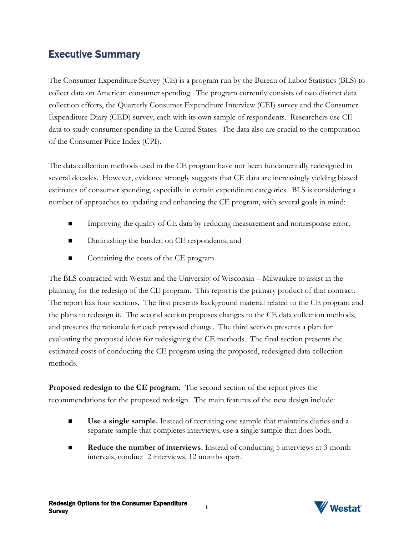## Executive Summary

The Consumer Expenditure Survey (CE) is a program run by the Bureau of Labor Statistics (BLS) to collect data on American consumer spending. The program currently consists of two distinct data collection efforts, the Quarterly Consumer Expenditure Interview (CEI) survey and the Consumer Expenditure Diary (CED) survey, each with its own sample of respondents. Researchers use CE data to study consumer spending in the United States. The data also are crucial to the computation of the Consumer Price Index (CPI).

The data collection methods used in the CE program have not been fundamentally redesigned in several decades. However, evidence strongly suggests that CE data are increasingly yielding biased estimates of consumer spending, especially in certain expenditure categories. BLS is considering a number of approaches to updating and enhancing the CE program, with several goals in mind:

- Improving the quality of CE data by reducing measurement and nonresponse error;
- Diminishing the burden on CE respondents; and
- Containing the costs of the CE program.

The BLS contracted with Westat and the University of Wisconsin – Milwaukee to assist in the planning for the redesign of the CE program. This report is the primary product of that contract. The report has four sections. The first presents background material related to the CE program and the plans to redesign it. The second section proposes changes to the CE data collection methods, and presents the rationale for each proposed change. The third section presents a plan for evaluating the proposed ideas for redesigning the CE methods. The final section presents the estimated costs of conducting the CE program using the proposed, redesigned data collection methods.

**Proposed redesign to the CE program.** The second section of the report gives the recommendations for the proposed redesign. The main features of the new design include:

- **Use a single sample.** Instead of recruiting one sample that maintains diaries and a separate sample that completes interviews, use a single sample that does both.
- **Reduce the number of interviews.** Instead of conducting 5 interviews at 3-month intervals, conduct 2 interviews, 12 months apart.



i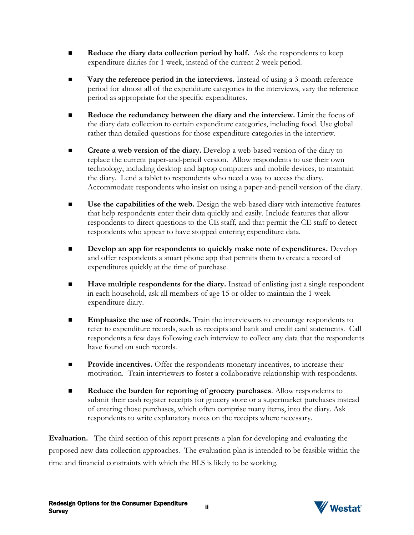- **Reduce the diary data collection period by half.** Ask the respondents to keep expenditure diaries for 1 week, instead of the current 2-week period.
- **Vary the reference period in the interviews.** Instead of using a 3-month reference period for almost all of the expenditure categories in the interviews, vary the reference period as appropriate for the specific expenditures.
- **Reduce the redundancy between the diary and the interview.** Limit the focus of the diary data collection to certain expenditure categories, including food. Use global rather than detailed questions for those expenditure categories in the interview.
- **Create a web version of the diary.** Develop a web-based version of the diary to replace the current paper-and-pencil version. Allow respondents to use their own technology, including desktop and laptop computers and mobile devices, to maintain the diary. Lend a tablet to respondents who need a way to access the diary. Accommodate respondents who insist on using a paper-and-pencil version of the diary.
- **Use the capabilities of the web.** Design the web-based diary with interactive features that help respondents enter their data quickly and easily. Include features that allow respondents to direct questions to the CE staff, and that permit the CE staff to detect respondents who appear to have stopped entering expenditure data.
- **Develop an app for respondents to quickly make note of expenditures.** Develop and offer respondents a smart phone app that permits them to create a record of expenditures quickly at the time of purchase.
- **Have multiple respondents for the diary.** Instead of enlisting just a single respondent in each household, ask all members of age 15 or older to maintain the 1-week expenditure diary.
- **Emphasize the use of records.** Train the interviewers to encourage respondents to refer to expenditure records, such as receipts and bank and credit card statements. Call respondents a few days following each interview to collect any data that the respondents have found on such records.
- **Provide incentives.** Offer the respondents monetary incentives, to increase their motivation. Train interviewers to foster a collaborative relationship with respondents.
- **Reduce the burden for reporting of grocery purchases**. Allow respondents to submit their cash register receipts for grocery store or a supermarket purchases instead of entering those purchases, which often comprise many items, into the diary. Ask respondents to write explanatory notes on the receipts where necessary.

**Evaluation.** The third section of this report presents a plan for developing and evaluating the proposed new data collection approaches. The evaluation plan is intended to be feasible within the time and financial constraints with which the BLS is likely to be working.



ii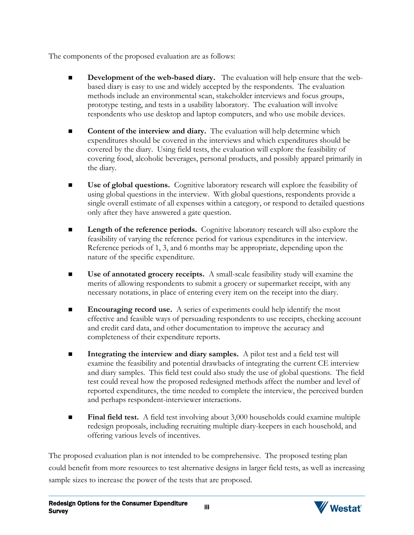The components of the proposed evaluation are as follows:

- **Development of the web-based diary.** The evaluation will help ensure that the webbased diary is easy to use and widely accepted by the respondents. The evaluation methods include an environmental scan, stakeholder interviews and focus groups, prototype testing, and tests in a usability laboratory. The evaluation will involve respondents who use desktop and laptop computers, and who use mobile devices.
- **Content of the interview and diary.** The evaluation will help determine which expenditures should be covered in the interviews and which expenditures should be covered by the diary. Using field tests, the evaluation will explore the feasibility of covering food, alcoholic beverages, personal products, and possibly apparel primarily in the diary.
- **Use of global questions.** Cognitive laboratory research will explore the feasibility of using global questions in the interview. With global questions, respondents provide a single overall estimate of all expenses within a category, or respond to detailed questions only after they have answered a gate question.
- **Length of the reference periods.** Cognitive laboratory research will also explore the feasibility of varying the reference period for various expenditures in the interview. Reference periods of 1, 3, and 6 months may be appropriate, depending upon the nature of the specific expenditure.
- Use of annotated grocery receipts. A small-scale feasibility study will examine the merits of allowing respondents to submit a grocery or supermarket receipt, with any necessary notations, in place of entering every item on the receipt into the diary.
- **Encouraging record use.** A series of experiments could help identify the most effective and feasible ways of persuading respondents to use receipts, checking account and credit card data, and other documentation to improve the accuracy and completeness of their expenditure reports.
- **Integrating the interview and diary samples.** A pilot test and a field test will examine the feasibility and potential drawbacks of integrating the current CE interview and diary samples. This field test could also study the use of global questions. The field test could reveal how the proposed redesigned methods affect the number and level of reported expenditures, the time needed to complete the interview, the perceived burden and perhaps respondent-interviewer interactions.
- **Final field test.** A field test involving about 3,000 households could examine multiple redesign proposals, including recruiting multiple diary-keepers in each household, and offering various levels of incentives.

The proposed evaluation plan is not intended to be comprehensive. The proposed testing plan could benefit from more resources to test alternative designs in larger field tests, as well as increasing sample sizes to increase the power of the tests that are proposed.

iii

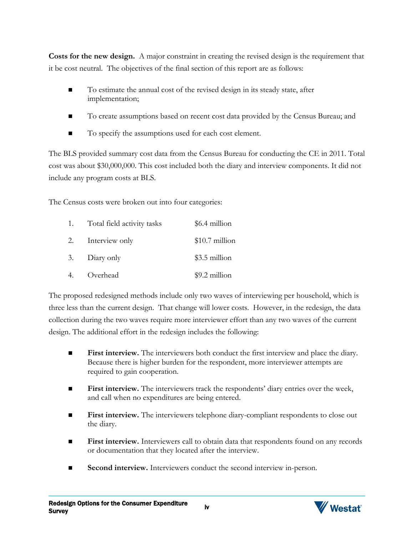**Costs for the new design.** A major constraint in creating the revised design is the requirement that it be cost neutral. The objectives of the final section of this report are as follows:

- To estimate the annual cost of the revised design in its steady state, after implementation;
- To create assumptions based on recent cost data provided by the Census Bureau; and
- To specify the assumptions used for each cost element.

The BLS provided summary cost data from the Census Bureau for conducting the CE in 2011. Total cost was about \$30,000,000. This cost included both the diary and interview components. It did not include any program costs at BLS.

The Census costs were broken out into four categories:

| 1. | Total field activity tasks | \$6.4 million   |
|----|----------------------------|-----------------|
| 2. | Interview only             | $$10.7$ million |
| 3. | Diary only                 | \$3.5 million   |
|    | Overhead                   | \$9.2 million   |

The proposed redesigned methods include only two waves of interviewing per household, which is three less than the current design. That change will lower costs. However, in the redesign, the data collection during the two waves require more interviewer effort than any two waves of the current design. The additional effort in the redesign includes the following:

- **First interview.** The interviewers both conduct the first interview and place the diary. Because there is higher burden for the respondent, more interviewer attempts are required to gain cooperation.
- **First interview.** The interviewers track the respondents' diary entries over the week, and call when no expenditures are being entered.
- **First interview.** The interviewers telephone diary-compliant respondents to close out the diary.
- **First interview.** Interviewers call to obtain data that respondents found on any records or documentation that they located after the interview.
- **Second interview.** Interviewers conduct the second interview in-person.



iv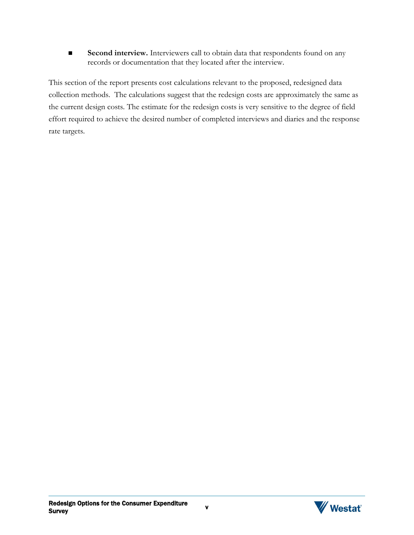**Second interview.** Interviewers call to obtain data that respondents found on any records or documentation that they located after the interview.

This section of the report presents cost calculations relevant to the proposed, redesigned data collection methods. The calculations suggest that the redesign costs are approximately the same as the current design costs. The estimate for the redesign costs is very sensitive to the degree of field effort required to achieve the desired number of completed interviews and diaries and the response rate targets.

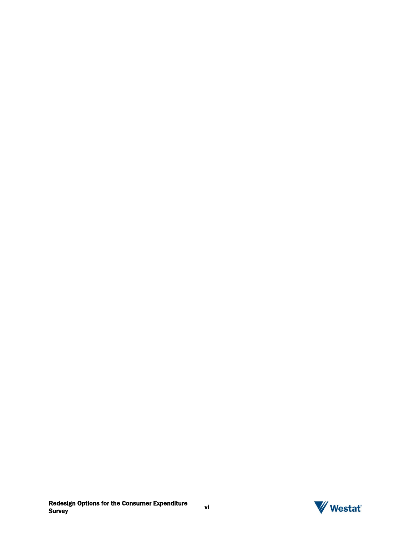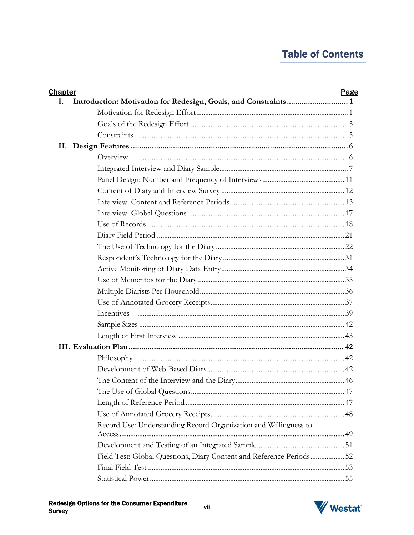# **Table of Contents**

| <b>Chapter</b> |                                                                     | <b>Page</b> |
|----------------|---------------------------------------------------------------------|-------------|
|                |                                                                     |             |
|                |                                                                     |             |
|                |                                                                     |             |
|                |                                                                     |             |
|                |                                                                     |             |
|                |                                                                     |             |
|                |                                                                     |             |
|                |                                                                     |             |
|                |                                                                     |             |
|                |                                                                     |             |
|                |                                                                     |             |
|                |                                                                     |             |
|                |                                                                     |             |
|                |                                                                     |             |
|                |                                                                     |             |
|                |                                                                     |             |
|                |                                                                     |             |
|                |                                                                     |             |
|                |                                                                     |             |
|                |                                                                     |             |
|                |                                                                     |             |
|                |                                                                     |             |
|                |                                                                     |             |
|                |                                                                     |             |
|                |                                                                     |             |
|                |                                                                     |             |
|                |                                                                     |             |
|                |                                                                     |             |
|                |                                                                     |             |
|                | Record Use: Understanding Record Organization and Willingness to    |             |
|                |                                                                     |             |
|                | Field Test: Global Questions, Diary Content and Reference Periods52 |             |
|                |                                                                     |             |
|                |                                                                     |             |

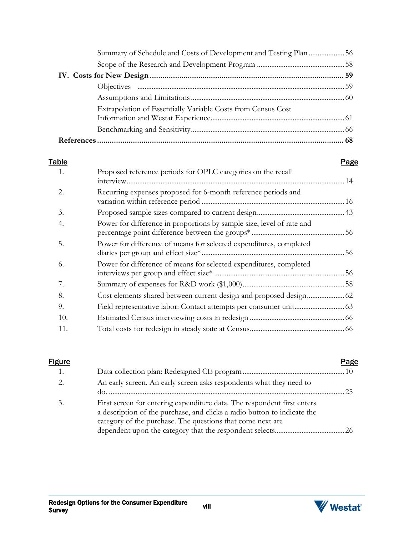| Summary of Schedule and Costs of Development and Testing Plan 56 |  |
|------------------------------------------------------------------|--|
|                                                                  |  |
|                                                                  |  |
|                                                                  |  |
|                                                                  |  |
| Extrapolation of Essentially Variable Costs from Census Cost     |  |
|                                                                  |  |
|                                                                  |  |
|                                                                  |  |

| <b>Table</b> |                                                                       | <b>Page</b> |
|--------------|-----------------------------------------------------------------------|-------------|
| 1.           | Proposed reference periods for OPLC categories on the recall          |             |
|              |                                                                       |             |
| 2.           | Recurring expenses proposed for 6-month reference periods and         |             |
| 3.           |                                                                       |             |
| 4.           | Power for difference in proportions by sample size, level of rate and |             |
| 5.           | Power for difference of means for selected expenditures, completed    |             |
| 6.           | Power for difference of means for selected expenditures, completed    |             |
| 7.           |                                                                       |             |
| 8.           |                                                                       |             |
| 9.           |                                                                       |             |
| 10.          |                                                                       |             |
| 11.          |                                                                       |             |

| <b>Figure</b> |                                                                                                                                                                                                                   | Page |
|---------------|-------------------------------------------------------------------------------------------------------------------------------------------------------------------------------------------------------------------|------|
| 1.            |                                                                                                                                                                                                                   |      |
| 2.            | An early screen. An early screen asks respondents what they need to<br>do.                                                                                                                                        | 25   |
| 3             | First screen for entering expenditure data. The respondent first enters<br>a description of the purchase, and clicks a radio button to indicate the<br>category of the purchase. The questions that come next are |      |
|               |                                                                                                                                                                                                                   |      |

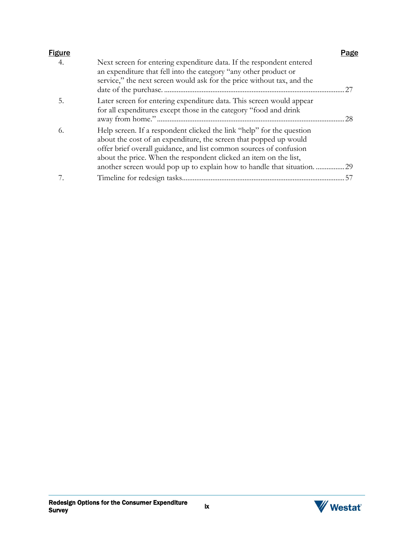| <b>Figure</b> |                                                                                                                                                                                                                                                                                                                                                                | Page |
|---------------|----------------------------------------------------------------------------------------------------------------------------------------------------------------------------------------------------------------------------------------------------------------------------------------------------------------------------------------------------------------|------|
| 4.            | Next screen for entering expenditure data. If the respondent entered<br>an expenditure that fell into the category "any other product or<br>service," the next screen would ask for the price without tax, and the                                                                                                                                             | 27   |
| 5.            | Later screen for entering expenditure data. This screen would appear<br>for all expenditures except those in the category "food and drink                                                                                                                                                                                                                      | 28   |
| 6.            | Help screen. If a respondent clicked the link "help" for the question<br>about the cost of an expenditure, the screen that popped up would<br>offer brief overall guidance, and list common sources of confusion<br>about the price. When the respondent clicked an item on the list,<br>another screen would pop up to explain how to handle that situation29 |      |
|               |                                                                                                                                                                                                                                                                                                                                                                |      |
|               |                                                                                                                                                                                                                                                                                                                                                                |      |

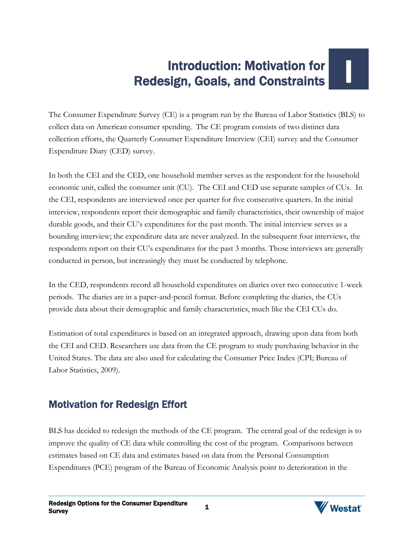# Introduction: Motivation for **Redesign, Goals, and Constraints**

<span id="page-11-0"></span>The Consumer Expenditure Survey (CE) is a program run by the Bureau of Labor Statistics (BLS) to collect data on American consumer spending. The CE program consists of two distinct data collection efforts, the Quarterly Consumer Expenditure Interview (CEI) survey and the Consumer Expenditure Diary (CED) survey.

In both the CEI and the CED, one household member serves as the respondent for the household economic unit, called the consumer unit (CU). The CEI and CED use separate samples of CUs. In the CEI, respondents are interviewed once per quarter for five consecutive quarters. In the initial interview, respondents report their demographic and family characteristics, their ownership of major durable goods, and their CU's expenditures for the past month. The initial interview serves as a bounding interview; the expenditure data are never analyzed. In the subsequent four interviews, the respondents report on their CU's expenditures for the past 3 months. Those interviews are generally conducted in person, but increasingly they must be conducted by telephone.

In the CED, respondents record all household expenditures on diaries over two consecutive 1-week periods. The diaries are in a paper-and-pencil format. Before completing the diaries, the CUs provide data about their demographic and family characteristics, much like the CEI CUs do.

Estimation of total expenditures is based on an integrated approach, drawing upon data from both the CEI and CED. Researchers use data from the CE program to study purchasing behavior in the United States. The data are also used for calculating the Consumer Price Index (CPI; Bureau of Labor Statistics, 2009).

#### <span id="page-11-1"></span>Motivation for Redesign Effort

BLS has decided to redesign the methods of the CE program. The central goal of the redesign is to improve the quality of CE data while controlling the cost of the program. Comparisons between estimates based on CE data and estimates based on data from the Personal Consumption Expenditures (PCE) program of the Bureau of Economic Analysis point to deterioration in the

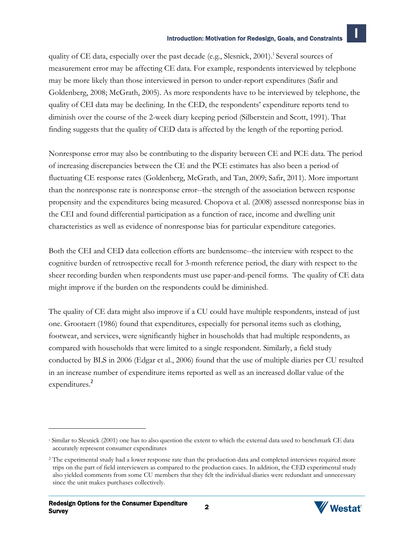quality of CE data, especially over the past decade (e.g., Slesnick, 2001).<sup>1</sup> Several sources of measurement error may be affecting CE data. For example, respondents interviewed by telephone may be more likely than those interviewed in person to under-report expenditures (Safir and Goldenberg, 2008; McGrath, 2005). As more respondents have to be interviewed by telephone, the quality of CEI data may be declining. In the CED, the respondents' expenditure reports tend to diminish over the course of the 2-week diary keeping period (Silberstein and Scott, 1991). That finding suggests that the quality of CED data is affected by the length of the reporting period.

Nonresponse error may also be contributing to the disparity between CE and PCE data. The period of increasing discrepancies between the CE and the PCE estimates has also been a period of fluctuating CE response rates (Goldenberg, McGrath, and Tan, 2009; Safir, 2011). More important than the nonresponse rate is nonresponse error--the strength of the association between response propensity and the expenditures being measured. Chopova et al. (2008) assessed nonresponse bias in the CEI and found differential participation as a function of race, income and dwelling unit characteristics as well as evidence of nonresponse bias for particular expenditure categories.

Both the CEI and CED data collection efforts are burdensome--the interview with respect to the cognitive burden of retrospective recall for 3-month reference period, the diary with respect to the sheer recording burden when respondents must use paper-and-pencil forms. The quality of CE data might improve if the burden on the respondents could be diminished.

The quality of CE data might also improve if a CU could have multiple respondents, instead of just one. Grootaert (1986) found that expenditures, especially for personal items such as clothing, footwear, and services, were significantly higher in households that had multiple respondents, as compared with households that were limited to a single respondent. Similarly, a field study conducted by BLS in 2006 (Edgar et al., 2006) found that the use of multiple diaries per CU resulted in an increase number of expenditure items reported as well as an increased dollar value of the expenditures.<sup>2</sup>

 $\overline{a}$ 



<sup>1</sup> Similar to Slesnick (2001) one has to also question the extent to which the external data used to benchmark CE data accurately represent consumer expenditures

<sup>&</sup>lt;sup>2</sup> The experimental study had a lower response rate than the production data and completed interviews required more trips on the part of field interviewers as compared to the production cases. In addition, the CED experimental study also yielded comments from some CU members that they felt the individual diaries were redundant and unnecessary since the unit makes purchases collectively.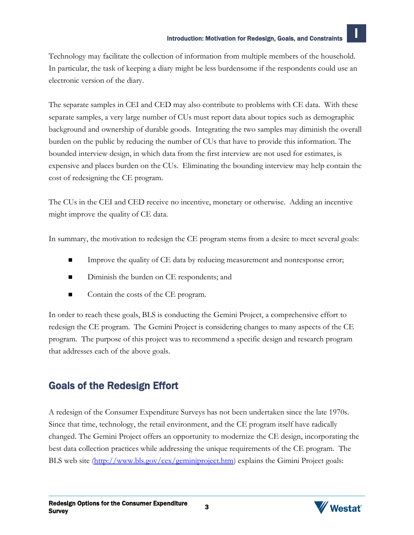Technology may facilitate the collection of information from multiple members of the household. In particular, the task of keeping a diary might be less burdensome if the respondents could use an electronic version of the diary.

The separate samples in CEI and CED may also contribute to problems with CE data. With these separate samples, a very large number of CUs must report data about topics such as demographic background and ownership of durable goods. Integrating the two samples may diminish the overall burden on the public by reducing the number of CUs that have to provide this information. The bounded interview design, in which data from the first interview are not used for estimates, is expensive and places burden on the CUs. Eliminating the bounding interview may help contain the cost of redesigning the CE program.

The CUs in the CEI and CED receive no incentive, monetary or otherwise. Adding an incentive might improve the quality of CE data.

In summary, the motivation to redesign the CE program stems from a desire to meet several goals:

- **IMPROVE THE GUALA** Integral and non-temporaries errors in Improve the quality of CE data by reducing measurement and nonresponse error;
- Diminish the burden on CE respondents; and
- Contain the costs of the CE program.

In order to reach these goals, BLS is conducting the Gemini Project, a comprehensive effort to redesign the CE program. The Gemini Project is considering changes to many aspects of the CE program. The purpose of this project was to recommend a specific design and research program that addresses each of the above goals.

# <span id="page-13-0"></span>Goals of the Redesign Effort

A redesign of the Consumer Expenditure Surveys has not been undertaken since the late 1970s. Since that time, technology, the retail environment, and the CE program itself have radically changed. The Gemini Project offers an opportunity to modernize the CE design, incorporating the best data collection practices while addressing the unique requirements of the CE program. The BLS web site [\(http://www.bls.gov/cex/geminiproject.htm\)](http://www.bls.gov/cex/geminiproject.htm) explains the Gimini Project goals:

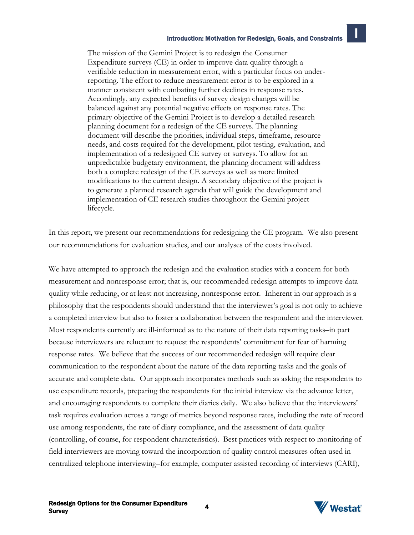The mission of the Gemini Project is to redesign the [Consumer](http://www.bls.gov/cex/home.htm)  [Expenditure](http://www.bls.gov/cex/home.htm) surveys (CE) in order to improve data quality through a verifiable reduction in measurement error, with a particular focus on underreporting. The effort to reduce measurement error is to be explored in a manner consistent with combating further declines in response rates. Accordingly, any expected benefits of survey design changes will be balanced against any potential negative effects on response rates. The primary objective of the Gemini Project is to develop a detailed research planning document for a redesign of the CE surveys. The planning document will describe the priorities, individual steps, timeframe, resource needs, and costs required for the development, pilot testing, evaluation, and implementation of a redesigned CE survey or surveys. To allow for an unpredictable budgetary environment, the planning document will address both a complete redesign of the CE surveys as well as more limited modifications to the current design. A secondary objective of the project is to generate a planned research agenda that will guide the development and implementation of CE research studies throughout the Gemini project lifecycle.

In this report, we present our recommendations for redesigning the CE program. We also present our recommendations for evaluation studies, and our analyses of the costs involved.

We have attempted to approach the redesign and the evaluation studies with a concern for both measurement and nonresponse error; that is, our recommended redesign attempts to improve data quality while reducing, or at least not increasing, nonresponse error. Inherent in our approach is a philosophy that the respondents should understand that the interviewer's goal is not only to achieve a completed interview but also to foster a collaboration between the respondent and the interviewer. Most respondents currently are ill-informed as to the nature of their data reporting tasks–in part because interviewers are reluctant to request the respondents' commitment for fear of harming response rates. We believe that the success of our recommended redesign will require clear communication to the respondent about the nature of the data reporting tasks and the goals of accurate and complete data. Our approach incorporates methods such as asking the respondents to use expenditure records, preparing the respondents for the initial interview via the advance letter, and encouraging respondents to complete their diaries daily. We also believe that the interviewers' task requires evaluation across a range of metrics beyond response rates, including the rate of record use among respondents, the rate of diary compliance, and the assessment of data quality (controlling, of course, for respondent characteristics). Best practices with respect to monitoring of field interviewers are moving toward the incorporation of quality control measures often used in centralized telephone interviewing–for example, computer assisted recording of interviews (CARI),

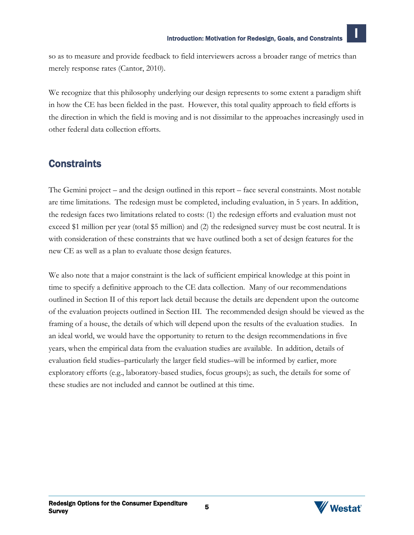so as to measure and provide feedback to field interviewers across a broader range of metrics than merely response rates (Cantor, 2010).

We recognize that this philosophy underlying our design represents to some extent a paradigm shift in how the CE has been fielded in the past. However, this total quality approach to field efforts is the direction in which the field is moving and is not dissimilar to the approaches increasingly used in other federal data collection efforts.

#### <span id="page-15-0"></span>**Constraints**

The Gemini project – and the design outlined in this report – face several constraints. Most notable are time limitations. The redesign must be completed, including evaluation, in 5 years. In addition, the redesign faces two limitations related to costs: (1) the redesign efforts and evaluation must not exceed \$1 million per year (total \$5 million) and (2) the redesigned survey must be cost neutral. It is with consideration of these constraints that we have outlined both a set of design features for the new CE as well as a plan to evaluate those design features.

We also note that a major constraint is the lack of sufficient empirical knowledge at this point in time to specify a definitive approach to the CE data collection. Many of our recommendations outlined in Section II of this report lack detail because the details are dependent upon the outcome of the evaluation projects outlined in Section III. The recommended design should be viewed as the framing of a house, the details of which will depend upon the results of the evaluation studies. In an ideal world, we would have the opportunity to return to the design recommendations in five years, when the empirical data from the evaluation studies are available. In addition, details of evaluation field studies–particularly the larger field studies–will be informed by earlier, more exploratory efforts (e.g., laboratory-based studies, focus groups); as such, the details for some of these studies are not included and cannot be outlined at this time.

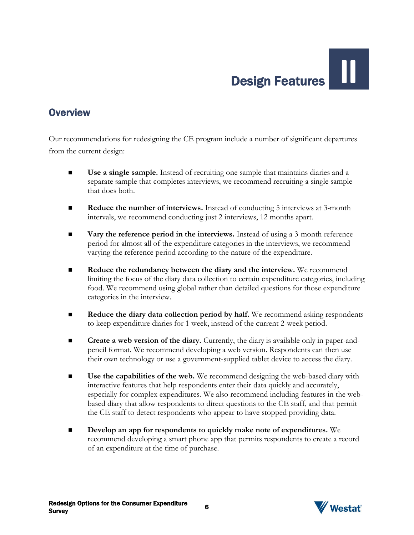## <span id="page-16-1"></span><span id="page-16-0"></span>**Overview**

Our recommendations for redesigning the CE program include a number of significant departures from the current design:

- **Use a single sample.** Instead of recruiting one sample that maintains diaries and a separate sample that completes interviews, we recommend recruiting a single sample that does both.
- **Reduce the number of interviews.** Instead of conducting 5 interviews at 3-month intervals, we recommend conducting just 2 interviews, 12 months apart.
- **Vary the reference period in the interviews.** Instead of using a 3-month reference period for almost all of the expenditure categories in the interviews, we recommend varying the reference period according to the nature of the expenditure.
- **Reduce the redundancy between the diary and the interview.** We recommend limiting the focus of the diary data collection to certain expenditure categories, including food. We recommend using global rather than detailed questions for those expenditure categories in the interview.
- **Reduce the diary data collection period by half.** We recommend asking respondents to keep expenditure diaries for 1 week, instead of the current 2-week period.
- **Create a web version of the diary.** Currently, the diary is available only in paper-andpencil format. We recommend developing a web version. Respondents can then use their own technology or use a government-supplied tablet device to access the diary.
- **Use the capabilities of the web.** We recommend designing the web-based diary with interactive features that help respondents enter their data quickly and accurately, especially for complex expenditures. We also recommend including features in the webbased diary that allow respondents to direct questions to the CE staff, and that permit the CE staff to detect respondents who appear to have stopped providing data.
- **Develop an app for respondents to quickly make note of expenditures.** We recommend developing a smart phone app that permits respondents to create a record of an expenditure at the time of purchase.

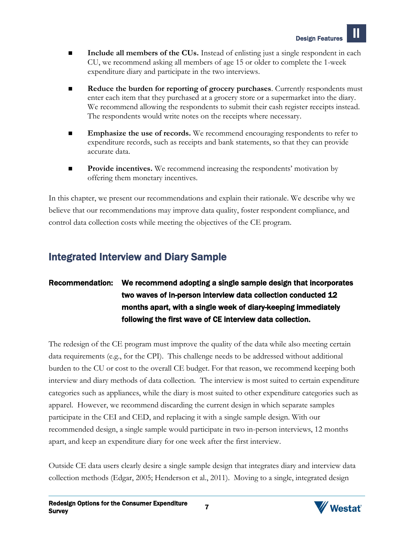- **Include all members of the CUs.** Instead of enlisting just a single respondent in each CU, we recommend asking all members of age 15 or older to complete the 1-week expenditure diary and participate in the two interviews.
- **Reduce the burden for reporting of grocery purchases**. Currently respondents must enter each item that they purchased at a grocery store or a supermarket into the diary. We recommend allowing the respondents to submit their cash register receipts instead. The respondents would write notes on the receipts where necessary.
- **Emphasize the use of records.** We recommend encouraging respondents to refer to expenditure records, such as receipts and bank statements, so that they can provide accurate data.
- **Provide incentives.** We recommend increasing the respondents' motivation by offering them monetary incentives.

In this chapter, we present our recommendations and explain their rationale. We describe why we believe that our recommendations may improve data quality, foster respondent compliance, and control data collection costs while meeting the objectives of the CE program.

## <span id="page-17-0"></span>Integrated Interview and Diary Sample

#### Recommendation: We recommend adopting a single sample design that incorporates two waves of in-person interview data collection conducted 12 months apart, with a single week of diary-keeping immediately following the first wave of CE interview data collection.

The redesign of the CE program must improve the quality of the data while also meeting certain data requirements (e.g., for the CPI). This challenge needs to be addressed without additional burden to the CU or cost to the overall CE budget. For that reason, we recommend keeping both interview and diary methods of data collection. The interview is most suited to certain expenditure categories such as appliances, while the diary is most suited to other expenditure categories such as apparel. However, we recommend discarding the current design in which separate samples participate in the CEI and CED, and replacing it with a single sample design. With our recommended design, a single sample would participate in two in-person interviews, 12 months apart, and keep an expenditure diary for one week after the first interview.

Outside CE data users clearly desire a single sample design that integrates diary and interview data collection methods (Edgar, 2005; Henderson et al., 2011). Moving to a single, integrated design

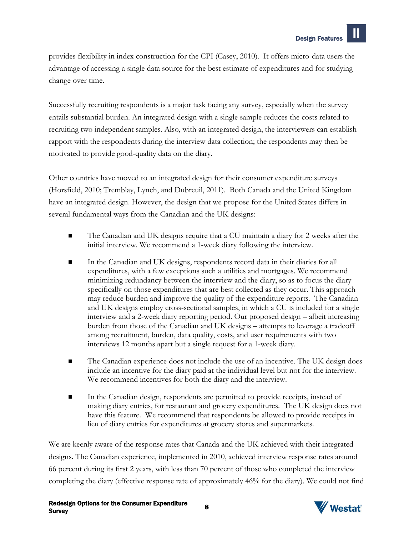provides flexibility in index construction for the CPI (Casey, 2010). It offers micro-data users the advantage of accessing a single data source for the best estimate of expenditures and for studying change over time.

Successfully recruiting respondents is a major task facing any survey, especially when the survey entails substantial burden. An integrated design with a single sample reduces the costs related to recruiting two independent samples. Also, with an integrated design, the interviewers can establish rapport with the respondents during the interview data collection; the respondents may then be motivated to provide good-quality data on the diary.

Other countries have moved to an integrated design for their consumer expenditure surveys (Horsfield, 2010; Tremblay, Lynch, and Dubreuil, 2011). Both Canada and the United Kingdom have an integrated design. However, the design that we propose for the United States differs in several fundamental ways from the Canadian and the UK designs:

- The Canadian and UK designs require that a CU maintain a diary for 2 weeks after the initial interview. We recommend a 1-week diary following the interview.
- In the Canadian and UK designs, respondents record data in their diaries for all expenditures, with a few exceptions such a utilities and mortgages. We recommend minimizing redundancy between the interview and the diary, so as to focus the diary specifically on those expenditures that are best collected as they occur. This approach may reduce burden and improve the quality of the expenditure reports. The Canadian and UK designs employ cross-sectional samples, in which a CU is included for a single interview and a 2-week diary reporting period. Our proposed design – albeit increasing burden from those of the Canadian and UK designs – attempts to leverage a tradeoff among recruitment, burden, data quality, costs, and user requirements with two interviews 12 months apart but a single request for a 1-week diary.
- The Canadian experience does not include the use of an incentive. The UK design does include an incentive for the diary paid at the individual level but not for the interview. We recommend incentives for both the diary and the interview.
- In the Canadian design, respondents are permitted to provide receipts, instead of making diary entries, for restaurant and grocery expenditures. The UK design does not have this feature. We recommend that respondents be allowed to provide receipts in lieu of diary entries for expenditures at grocery stores and supermarkets.

We are keenly aware of the response rates that Canada and the UK achieved with their integrated designs. The Canadian experience, implemented in 2010, achieved interview response rates around 66 percent during its first 2 years, with less than 70 percent of those who completed the interview completing the diary (effective response rate of approximately 46% for the diary). We could not find

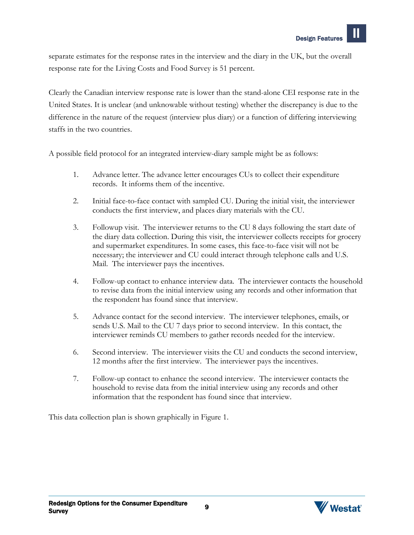separate estimates for the response rates in the interview and the diary in the UK, but the overall response rate for the Living Costs and Food Survey is 51 percent.

Clearly the Canadian interview response rate is lower than the stand-alone CEI response rate in the United States. It is unclear (and unknowable without testing) whether the discrepancy is due to the difference in the nature of the request (interview plus diary) or a function of differing interviewing staffs in the two countries.

A possible field protocol for an integrated interview-diary sample might be as follows:

- 1. Advance letter. The advance letter encourages CUs to collect their expenditure records. It informs them of the incentive.
- 2. Initial face-to-face contact with sampled CU. During the initial visit, the interviewer conducts the first interview, and places diary materials with the CU.
- 3. Followup visit. The interviewer returns to the CU 8 days following the start date of the diary data collection. During this visit, the interviewer collects receipts for grocery and supermarket expenditures. In some cases, this face-to-face visit will not be necessary; the interviewer and CU could interact through telephone calls and U.S. Mail. The interviewer pays the incentives.
- 4. Follow-up contact to enhance interview data. The interviewer contacts the household to revise data from the initial interview using any records and other information that the respondent has found since that interview.
- 5. Advance contact for the second interview. The interviewer telephones, emails, or sends U.S. Mail to the CU 7 days prior to second interview. In this contact, the interviewer reminds CU members to gather records needed for the interview.
- 6. Second interview. The interviewer visits the CU and conducts the second interview, 12 months after the first interview. The interviewer pays the incentives.
- 7. Follow-up contact to enhance the second interview. The interviewer contacts the household to revise data from the initial interview using any records and other information that the respondent has found since that interview.

This data collection plan is shown graphically in Figure 1.

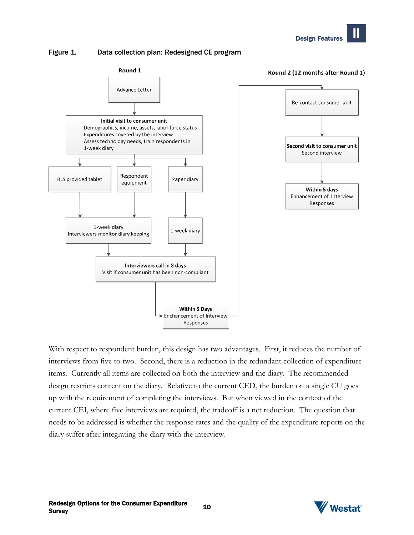

#### <span id="page-20-0"></span>Figure 1. Data collection plan: Redesigned CE program



With respect to respondent burden, this design has two advantages. First, it reduces the number of interviews from five to two. Second, there is a reduction in the redundant collection of expenditure items. Currently all items are collected on both the interview and the diary. The recommended design restricts content on the diary. Relative to the current CED, the burden on a single CU goes up with the requirement of completing the interviews. But when viewed in the context of the current CEI, where five interviews are required, the tradeoff is a net reduction. The question that needs to be addressed is whether the response rates and the quality of the expenditure reports on the diary suffer after integrating the diary with the interview.

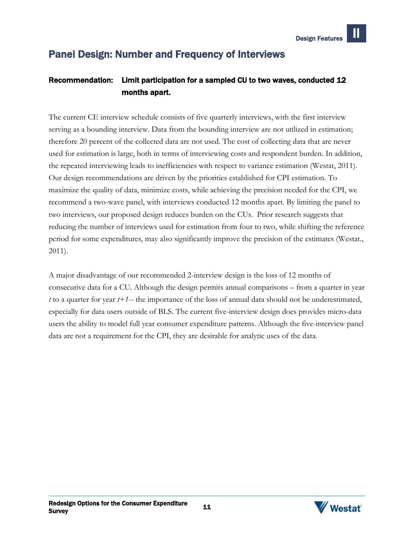## <span id="page-21-0"></span>Panel Design: Number and Frequency of Interviews

#### Recommendation: Limit participation for a sampled CU to two waves, conducted 12 months apart.

The current CE interview schedule consists of five quarterly interviews, with the first interview serving as a bounding interview. Data from the bounding interview are not utilized in estimation; therefore 20 percent of the collected data are not used. The cost of collecting data that are never used for estimation is large, both in terms of interviewing costs and respondent burden. In addition, the repeated interviewing leads to inefficiencies with respect to variance estimation (Westat, 2011). Our design recommendations are driven by the priorities established for CPI estimation. To maximize the quality of data, minimize costs, while achieving the precision needed for the CPI, we recommend a two-wave panel, with interviews conducted 12 months apart. By limiting the panel to two interviews, our proposed design reduces burden on the CUs. Prior research suggests that reducing the number of interviews used for estimation from four to two, while shifting the reference period for some expenditures, may also significantly improve the precision of the estimates (Westat., 2011).

A major disadvantage of our recommended 2-interview design is the loss of 12 months of consecutive data for a CU. Although the design permits annual comparisons – from a quarter in year *t* to a quarter for year *t+1*-- the importance of the loss of annual data should not be underestimated, especially for data users outside of BLS. The current five-interview design does provides micro-data users the ability to model full year consumer expenditure patterns. Although the five-interview panel data are not a requirement for the CPI, they are desirable for analytic uses of the data.

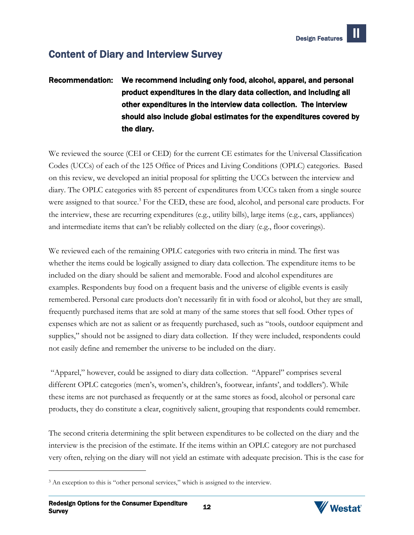# <span id="page-22-0"></span>Content of Diary and Interview Survey

#### Recommendation: We recommend including only food, alcohol, apparel, and personal product expenditures in the diary data collection, and including all other expenditures in the interview data collection. The interview should also include global estimates for the expenditures covered by the diary.

We reviewed the source (CEI or CED) for the current CE estimates for the Universal Classification Codes (UCCs) of each of the 125 Office of Prices and Living Conditions (OPLC) categories. Based on this review, we developed an initial proposal for splitting the UCCs between the interview and diary. The OPLC categories with 85 percent of expenditures from UCCs taken from a single source were assigned to that source.<sup>3</sup> For the CED, these are food, alcohol, and personal care products. For the interview, these are recurring expenditures (e.g., utility bills), large items (e.g., cars, appliances) and intermediate items that can't be reliably collected on the diary (e.g., floor coverings).

We reviewed each of the remaining OPLC categories with two criteria in mind. The first was whether the items could be logically assigned to diary data collection. The expenditure items to be included on the diary should be salient and memorable. Food and alcohol expenditures are examples. Respondents buy food on a frequent basis and the universe of eligible events is easily remembered. Personal care products don't necessarily fit in with food or alcohol, but they are small, frequently purchased items that are sold at many of the same stores that sell food. Other types of expenses which are not as salient or as frequently purchased, such as "tools, outdoor equipment and supplies," should not be assigned to diary data collection. If they were included, respondents could not easily define and remember the universe to be included on the diary.

"Apparel," however, could be assigned to diary data collection. "Apparel" comprises several different OPLC categories (men's, women's, children's, footwear, infants', and toddlers'). While these items are not purchased as frequently or at the same stores as food, alcohol or personal care products, they do constitute a clear, cognitively salient, grouping that respondents could remember.

The second criteria determining the split between expenditures to be collected on the diary and the interview is the precision of the estimate. If the items within an OPLC category are not purchased very often, relying on the diary will not yield an estimate with adequate precision. This is the case for

 $\overline{a}$ 



<sup>&</sup>lt;sup>3</sup> An exception to this is "other personal services," which is assigned to the interview.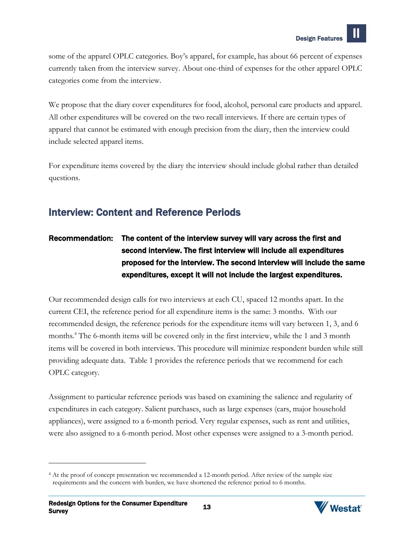some of the apparel OPLC categories. Boy's apparel, for example, has about 66 percent of expenses currently taken from the interview survey. About one-third of expenses for the other apparel OPLC categories come from the interview.

We propose that the diary cover expenditures for food, alcohol, personal care products and apparel. All other expenditures will be covered on the two recall interviews. If there are certain types of apparel that cannot be estimated with enough precision from the diary, then the interview could include selected apparel items.

For expenditure items covered by the diary the interview should include global rather than detailed questions.

## <span id="page-23-0"></span>Interview: Content and Reference Periods

#### Recommendation: The content of the interview survey will vary across the first and second interview. The first interview will include all expenditures proposed for the interview. The second interview will include the same expenditures, except it will not include the largest expenditures.

Our recommended design calls for two interviews at each CU, spaced 12 months apart. In the current CEI, the reference period for all expenditure items is the same: 3 months. With our recommended design, the reference periods for the expenditure items will vary between 1, 3, and 6 months.<sup>4</sup> The 6-month items will be covered only in the first interview, while the 1 and 3 month items will be covered in both interviews. This procedure will minimize respondent burden while still providing adequate data. Table 1 provides the reference periods that we recommend for each OPLC category.

Assignment to particular reference periods was based on examining the salience and regularity of expenditures in each category. Salient purchases, such as large expenses (cars, major household appliances), were assigned to a 6-month period. Very regular expenses, such as rent and utilities, were also assigned to a 6-month period. Most other expenses were assigned to a 3-month period.

 $\overline{a}$ 



<sup>4</sup> At the proof of concept presentation we recommended a 12-month period. After review of the sample size requirements and the concern with burden, we have shortened the reference period to 6 months.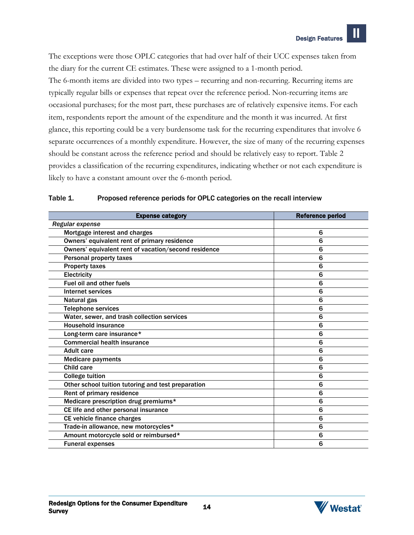The exceptions were those OPLC categories that had over half of their UCC expenses taken from the diary for the current CE estimates. These were assigned to a 1-month period. The 6-month items are divided into two types – recurring and non-recurring. Recurring items are typically regular bills or expenses that repeat over the reference period. Non-recurring items are occasional purchases; for the most part, these purchases are of relatively expensive items. For each item, respondents report the amount of the expenditure and the month it was incurred. At first glance, this reporting could be a very burdensome task for the recurring expenditures that involve 6 separate occurrences of a monthly expenditure. However, the size of many of the recurring expenses should be constant across the reference period and should be relatively easy to report. Table 2 provides a classification of the recurring expenditures, indicating whether or not each expenditure is likely to have a constant amount over the 6-month period.

| <b>Expense category</b>                              | <b>Reference period</b> |
|------------------------------------------------------|-------------------------|
| Regular expense                                      |                         |
| Mortgage interest and charges                        | 6                       |
| Owners' equivalent rent of primary residence         | 6                       |
| Owners' equivalent rent of vacation/second residence | 6                       |
| Personal property taxes                              | 6                       |
| <b>Property taxes</b>                                | 6                       |
| Electricity                                          | 6                       |
| <b>Fuel oil and other fuels</b>                      | 6                       |
| <b>Internet services</b>                             | 6                       |
| Natural gas                                          | 6                       |
| <b>Telephone services</b>                            | 6                       |
| Water, sewer, and trash collection services          | 6                       |
| <b>Household insurance</b>                           | 6                       |
| Long-term care insurance*                            | 6                       |
| <b>Commercial health insurance</b>                   | 6                       |
| <b>Adult care</b>                                    | 6                       |
| <b>Medicare payments</b>                             | 6                       |
| Child care                                           | 6                       |
| <b>College tuition</b>                               | 6                       |
| Other school tuition tutoring and test preparation   | 6                       |
| Rent of primary residence                            | 6                       |
| Medicare prescription drug premiums*                 | 6                       |
| CE life and other personal insurance                 | 6                       |
| CE vehicle finance charges                           | 6                       |
| Trade-in allowance, new motorcycles*                 | 6                       |
| Amount motorcycle sold or reimbursed*                | 6                       |
| <b>Funeral expenses</b>                              | 6                       |

#### <span id="page-24-0"></span>Table 1. Proposed reference periods for OPLC categories on the recall interview

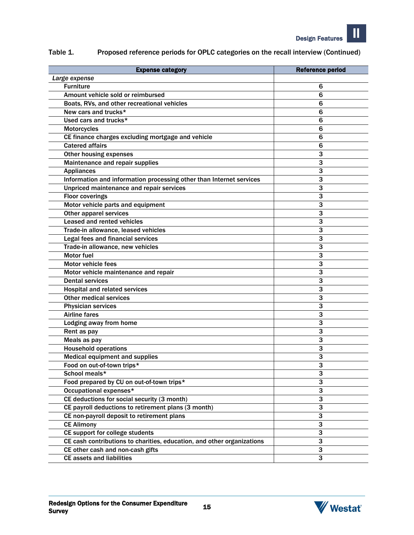

| <b>Expense category</b>                                                | <b>Reference period</b> |
|------------------------------------------------------------------------|-------------------------|
| Large expense                                                          |                         |
| <b>Furniture</b>                                                       | 6                       |
| Amount vehicle sold or reimbursed                                      | 6                       |
| Boats, RVs, and other recreational vehicles                            | 6                       |
| New cars and trucks*                                                   | 6                       |
| Used cars and trucks*                                                  | 6                       |
| <b>Motorcycles</b>                                                     | 6                       |
| CE finance charges excluding mortgage and vehicle                      | 6                       |
| <b>Catered affairs</b>                                                 | 6                       |
| <b>Other housing expenses</b>                                          | 3                       |
| Maintenance and repair supplies                                        | 3                       |
| <b>Appliances</b>                                                      | 3                       |
| Information and information processing other than Internet services    | 3                       |
| Unpriced maintenance and repair services                               | 3                       |
| <b>Floor coverings</b>                                                 | 3                       |
| Motor vehicle parts and equipment                                      | 3                       |
| Other apparel services                                                 | 3                       |
| Leased and rented vehicles                                             | 3                       |
| Trade-in allowance, leased vehicles                                    | $\overline{\mathbf{3}}$ |
| Legal fees and financial services                                      | 3                       |
| Trade-in allowance, new vehicles                                       | 3                       |
| <b>Motor fuel</b>                                                      | 3                       |
| <b>Motor vehicle fees</b>                                              | 3                       |
| Motor vehicle maintenance and repair                                   | 3                       |
| <b>Dental services</b>                                                 | 3                       |
| <b>Hospital and related services</b>                                   | 3                       |
| <b>Other medical services</b>                                          | 3                       |
| <b>Physician services</b>                                              | 3                       |
| <b>Airline fares</b>                                                   | 3                       |
| Lodging away from home                                                 | 3                       |
| Rent as pay                                                            | $\overline{\mathbf{3}}$ |
| Meals as pay                                                           | $\overline{3}$          |
| <b>Household operations</b>                                            | 3                       |
| <b>Medical equipment and supplies</b>                                  | 3                       |
| Food on out-of-town trips*                                             | 3                       |
| School meals*                                                          | 3                       |
| Food prepared by CU on out-of-town trips*                              | 3                       |
| Occupational expenses*                                                 | 3                       |
| CE deductions for social security (3 month)                            | 3                       |
| CE payroll deductions to retirement plans (3 month)                    | 3                       |
| CE non-payroll deposit to retirement plans                             | 3                       |
| <b>CE Alimony</b>                                                      | 3                       |
| CE support for college students                                        | $\overline{3}$          |
| CE cash contributions to charities, education, and other organizations | 3                       |
| CE other cash and non-cash gifts                                       | 3                       |
| <b>CE assets and liabilities</b>                                       | 3                       |

#### Table 1. Proposed reference periods for OPLC categories on the recall interview (Continued)

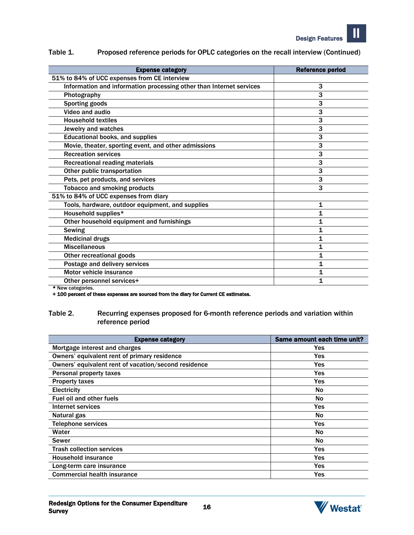

| <b>Expense category</b>                                             | <b>Reference period</b> |
|---------------------------------------------------------------------|-------------------------|
| 51% to 84% of UCC expenses from CE interview                        |                         |
| Information and information processing other than Internet services | 3                       |
| Photography                                                         | 3                       |
| <b>Sporting goods</b>                                               | 3                       |
| <b>Video and audio</b>                                              | 3                       |
| <b>Household textiles</b>                                           | 3                       |
| Jewelry and watches                                                 | 3                       |
| <b>Educational books, and supplies</b>                              | 3                       |
| Movie, theater, sporting event, and other admissions                | 3                       |
| <b>Recreation services</b>                                          | 3                       |
| Recreational reading materials                                      | 3                       |
| Other public transportation                                         | 3                       |
| Pets, pet products, and services                                    | 3                       |
| <b>Tobacco and smoking products</b>                                 | 3                       |
| 51% to 84% of UCC expenses from diary                               |                         |
| Tools, hardware, outdoor equipment, and supplies                    | 1                       |
| Household supplies*                                                 | 1                       |
| Other household equipment and furnishings                           | 1                       |
| Sewing                                                              | 1                       |
| <b>Medicinal drugs</b>                                              | 1                       |
| <b>Miscellaneous</b>                                                | 1                       |
| Other recreational goods                                            | 1                       |
| Postage and delivery services                                       | 1                       |
| <b>Motor vehicle insurance</b>                                      | 1                       |
| Other personnel services+                                           | 1                       |

#### Table 1. Proposed reference periods for OPLC categories on the recall interview (Continued)

\* New categories.

+ 100 percent of these expenses are sourced from the diary for Current CE estimates.

#### <span id="page-26-0"></span>Table 2. Recurring expenses proposed for 6-month reference periods and variation within reference period

| <b>Expense category</b>                              | Same amount each time unit? |
|------------------------------------------------------|-----------------------------|
| Mortgage interest and charges                        | Yes                         |
| Owners' equivalent rent of primary residence         | Yes                         |
| Owners' equivalent rent of vacation/second residence | Yes                         |
| Personal property taxes                              | Yes                         |
| <b>Property taxes</b>                                | Yes                         |
| <b>Electricity</b>                                   | No                          |
| <b>Fuel oil and other fuels</b>                      | No                          |
| Internet services                                    | Yes                         |
| Natural gas                                          | No                          |
| <b>Telephone services</b>                            | Yes                         |
| Water                                                | No                          |
| Sewer                                                | No                          |
| <b>Trash collection services</b>                     | Yes                         |
| <b>Household insurance</b>                           | Yes                         |
| Long-term care insurance                             | Yes                         |
| <b>Commercial health insurance</b>                   | Yes                         |

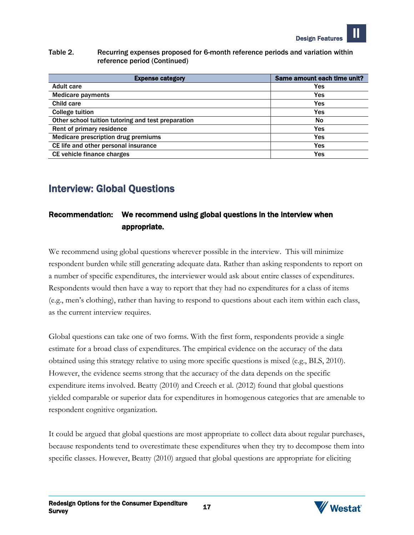#### Table 2. Recurring expenses proposed for 6-month reference periods and variation within reference period (Continued)

| <b>Expense category</b>                            | Same amount each time unit? |
|----------------------------------------------------|-----------------------------|
| <b>Adult care</b>                                  | Yes                         |
| <b>Medicare payments</b>                           | Yes                         |
| <b>Child care</b>                                  | Yes                         |
| <b>College tuition</b>                             | Yes                         |
| Other school tuition tutoring and test preparation | No                          |
| Rent of primary residence                          | Yes                         |
| Medicare prescription drug premiums                | Yes                         |
| CE life and other personal insurance               | Yes                         |
| CE vehicle finance charges                         | Yes                         |

# <span id="page-27-0"></span>Interview: Global Questions

#### Recommendation: We recommend using global questions in the interview when appropriate.

We recommend using global questions wherever possible in the interview. This will minimize respondent burden while still generating adequate data. Rather than asking respondents to report on a number of specific expenditures, the interviewer would ask about entire classes of expenditures. Respondents would then have a way to report that they had no expenditures for a class of items (e.g., men's clothing), rather than having to respond to questions about each item within each class, as the current interview requires.

Global questions can take one of two forms. With the first form, respondents provide a single estimate for a broad class of expenditures. The empirical evidence on the accuracy of the data obtained using this strategy relative to using more specific questions is mixed (e.g., BLS, 2010). However, the evidence seems strong that the accuracy of the data depends on the specific expenditure items involved. Beatty (2010) and Creech et al. (2012) found that global questions yielded comparable or superior data for expenditures in homogenous categories that are amenable to respondent cognitive organization.

It could be argued that global questions are most appropriate to collect data about regular purchases, because respondents tend to overestimate these expenditures when they try to decompose them into specific classes. However, Beatty (2010) argued that global questions are appropriate for eliciting

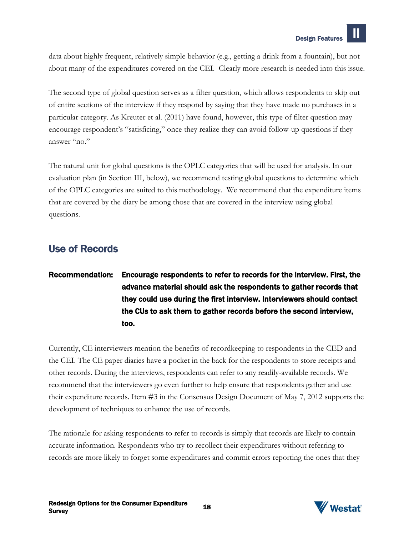data about highly frequent, relatively simple behavior (e.g., getting a drink from a fountain), but not about many of the expenditures covered on the CEI. Clearly more research is needed into this issue.

The second type of global question serves as a filter question, which allows respondents to skip out of entire sections of the interview if they respond by saying that they have made no purchases in a particular category. As Kreuter et al. (2011) have found, however, this type of filter question may encourage respondent's "satisficing," once they realize they can avoid follow-up questions if they answer "no."

The natural unit for global questions is the OPLC categories that will be used for analysis. In our evaluation plan (in Section III, below), we recommend testing global questions to determine which of the OPLC categories are suited to this methodology. We recommend that the expenditure items that are covered by the diary be among those that are covered in the interview using global questions.

# <span id="page-28-0"></span>Use of Records

#### Recommendation: Encourage respondents to refer to records for the interview. First, the advance material should ask the respondents to gather records that they could use during the first interview. Interviewers should contact the CUs to ask them to gather records before the second interview, too.

Currently, CE interviewers mention the benefits of recordkeeping to respondents in the CED and the CEI. The CE paper diaries have a pocket in the back for the respondents to store receipts and other records. During the interviews, respondents can refer to any readily-available records. We recommend that the interviewers go even further to help ensure that respondents gather and use their expenditure records. Item #3 in the Consensus Design Document of May 7, 2012 supports the development of techniques to enhance the use of records.

The rationale for asking respondents to refer to records is simply that records are likely to contain accurate information. Respondents who try to recollect their expenditures without referring to records are more likely to forget some expenditures and commit errors reporting the ones that they

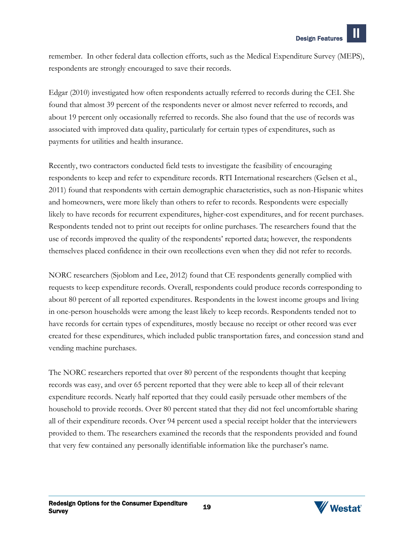remember. In other federal data collection efforts, such as the Medical Expenditure Survey (MEPS), respondents are strongly encouraged to save their records.

Edgar (2010) investigated how often respondents actually referred to records during the CEI. She found that almost 39 percent of the respondents never or almost never referred to records, and about 19 percent only occasionally referred to records. She also found that the use of records was associated with improved data quality, particularly for certain types of expenditures, such as payments for utilities and health insurance.

Recently, two contractors conducted field tests to investigate the feasibility of encouraging respondents to keep and refer to expenditure records. RTI International researchers (Gelsen et al., 2011) found that respondents with certain demographic characteristics, such as non-Hispanic whites and homeowners, were more likely than others to refer to records. Respondents were especially likely to have records for recurrent expenditures, higher-cost expenditures, and for recent purchases. Respondents tended not to print out receipts for online purchases. The researchers found that the use of records improved the quality of the respondents' reported data; however, the respondents themselves placed confidence in their own recollections even when they did not refer to records.

NORC researchers (Sjoblom and Lee, 2012) found that CE respondents generally complied with requests to keep expenditure records. Overall, respondents could produce records corresponding to about 80 percent of all reported expenditures. Respondents in the lowest income groups and living in one-person households were among the least likely to keep records. Respondents tended not to have records for certain types of expenditures, mostly because no receipt or other record was ever created for these expenditures, which included public transportation fares, and concession stand and vending machine purchases.

The NORC researchers reported that over 80 percent of the respondents thought that keeping records was easy, and over 65 percent reported that they were able to keep all of their relevant expenditure records. Nearly half reported that they could easily persuade other members of the household to provide records. Over 80 percent stated that they did not feel uncomfortable sharing all of their expenditure records. Over 94 percent used a special receipt holder that the interviewers provided to them. The researchers examined the records that the respondents provided and found that very few contained any personally identifiable information like the purchaser's name.

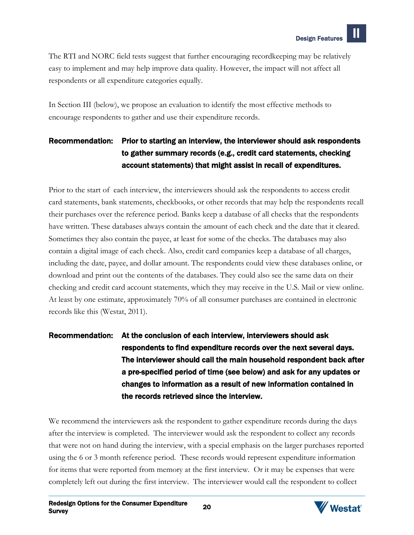The RTI and NORC field tests suggest that further encouraging recordkeeping may be relatively easy to implement and may help improve data quality. However, the impact will not affect all respondents or all expenditure categories equally.

In Section III (below), we propose an evaluation to identify the most effective methods to encourage respondents to gather and use their expenditure records.

#### Recommendation: Prior to starting an interview, the interviewer should ask respondents to gather summary records (e.g., credit card statements, checking account statements) that might assist in recall of expenditures.

Prior to the start of each interview, the interviewers should ask the respondents to access credit card statements, bank statements, checkbooks, or other records that may help the respondents recall their purchases over the reference period. Banks keep a database of all checks that the respondents have written. These databases always contain the amount of each check and the date that it cleared. Sometimes they also contain the payee, at least for some of the checks. The databases may also contain a digital image of each check. Also, credit card companies keep a database of all charges, including the date, payee, and dollar amount. The respondents could view these databases online, or download and print out the contents of the databases. They could also see the same data on their checking and credit card account statements, which they may receive in the U.S. Mail or view online. At least by one estimate, approximately 70% of all consumer purchases are contained in electronic records like this (Westat, 2011).

#### Recommendation: At the conclusion of each interview, interviewers should ask respondents to find expenditure records over the next several days. The interviewer should call the main household respondent back after a pre-specified period of time (see below) and ask for any updates or changes to information as a result of new information contained in the records retrieved since the interview.

We recommend the interviewers ask the respondent to gather expenditure records during the days after the interview is completed. The interviewer would ask the respondent to collect any records that were not on hand during the interview, with a special emphasis on the larger purchases reported using the 6 or 3 month reference period. These records would represent expenditure information for items that were reported from memory at the first interview. Or it may be expenses that were completely left out during the first interview. The interviewer would call the respondent to collect

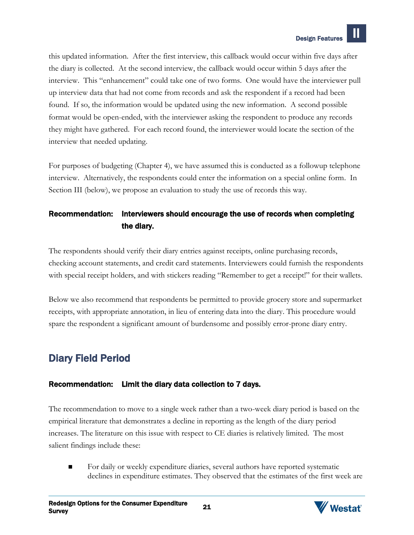this updated information. After the first interview, this callback would occur within five days after the diary is collected. At the second interview, the callback would occur within 5 days after the interview. This "enhancement" could take one of two forms. One would have the interviewer pull up interview data that had not come from records and ask the respondent if a record had been found. If so, the information would be updated using the new information. A second possible format would be open-ended, with the interviewer asking the respondent to produce any records they might have gathered. For each record found, the interviewer would locate the section of the interview that needed updating.

For purposes of budgeting (Chapter 4), we have assumed this is conducted as a followup telephone interview. Alternatively, the respondents could enter the information on a special online form. In Section III (below), we propose an evaluation to study the use of records this way.

#### Recommendation: Interviewers should encourage the use of records when completing the diary.

The respondents should verify their diary entries against receipts, online purchasing records, checking account statements, and credit card statements. Interviewers could furnish the respondents with special receipt holders, and with stickers reading "Remember to get a receipt!" for their wallets.

Below we also recommend that respondents be permitted to provide grocery store and supermarket receipts, with appropriate annotation, in lieu of entering data into the diary. This procedure would spare the respondent a significant amount of burdensome and possibly error-prone diary entry.

# <span id="page-31-0"></span>Diary Field Period

#### Recommendation: Limit the diary data collection to 7 days.

The recommendation to move to a single week rather than a two-week diary period is based on the empirical literature that demonstrates a decline in reporting as the length of the diary period increases. The literature on this issue with respect to CE diaries is relatively limited. The most salient findings include these:

 For daily or weekly expenditure diaries, several authors have reported systematic declines in expenditure estimates. They observed that the estimates of the first week are

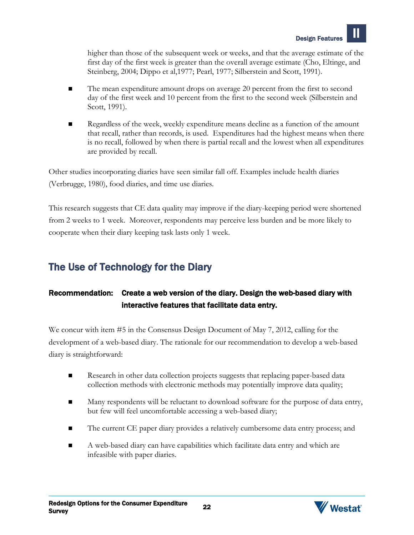higher than those of the subsequent week or weeks, and that the average estimate of the first day of the first week is greater than the overall average estimate (Cho, Eltinge, and Steinberg, 2004; Dippo et al,1977; Pearl, 1977; Silberstein and Scott, 1991).

- The mean expenditure amount drops on average 20 percent from the first to second day of the first week and 10 percent from the first to the second week (Silberstein and Scott, 1991).
- Regardless of the week, weekly expenditure means decline as a function of the amount that recall, rather than records, is used. Expenditures had the highest means when there is no recall, followed by when there is partial recall and the lowest when all expenditures are provided by recall.

Other studies incorporating diaries have seen similar fall off. Examples include health diaries (Verbrugge, 1980), food diaries, and time use diaries.

This research suggests that CE data quality may improve if the diary-keeping period were shortened from 2 weeks to 1 week. Moreover, respondents may perceive less burden and be more likely to cooperate when their diary keeping task lasts only 1 week.

# <span id="page-32-0"></span>The Use of Technology for the Diary

#### Recommendation: Create a web version of the diary. Design the web-based diary with interactive features that facilitate data entry.

We concur with item #5 in the Consensus Design Document of May 7, 2012, calling for the development of a web-based diary. The rationale for our recommendation to develop a web-based diary is straightforward:

- Research in other data collection projects suggests that replacing paper-based data collection methods with electronic methods may potentially improve data quality;
- **Many respondents will be reluctant to download software for the purpose of data entry,** but few will feel uncomfortable accessing a web-based diary;
- The current CE paper diary provides a relatively cumbersome data entry process; and
- A web-based diary can have capabilities which facilitate data entry and which are infeasible with paper diaries.

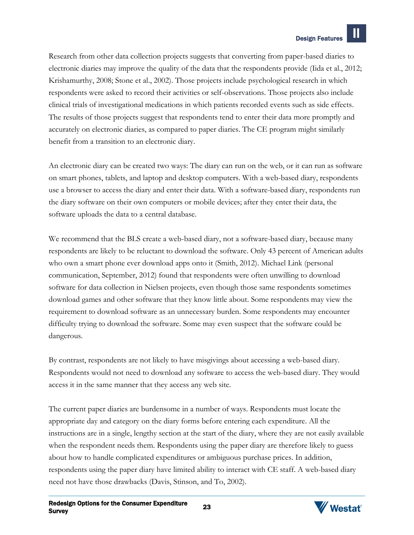Research from other data collection projects suggests that converting from paper-based diaries to electronic diaries may improve the quality of the data that the respondents provide (Iida et al., 2012; Krishamurthy, 2008; Stone et al., 2002). Those projects include psychological research in which respondents were asked to record their activities or self-observations. Those projects also include clinical trials of investigational medications in which patients recorded events such as side effects. The results of those projects suggest that respondents tend to enter their data more promptly and accurately on electronic diaries, as compared to paper diaries. The CE program might similarly benefit from a transition to an electronic diary.

An electronic diary can be created two ways: The diary can run on the web, or it can run as software on smart phones, tablets, and laptop and desktop computers. With a web-based diary, respondents use a browser to access the diary and enter their data. With a software-based diary, respondents run the diary software on their own computers or mobile devices; after they enter their data, the software uploads the data to a central database.

We recommend that the BLS create a web-based diary, not a software-based diary, because many respondents are likely to be reluctant to download the software. Only 43 percent of American adults who own a smart phone ever download apps onto it (Smith, 2012). Michael Link (personal communication, September, 2012) found that respondents were often unwilling to download software for data collection in Nielsen projects, even though those same respondents sometimes download games and other software that they know little about. Some respondents may view the requirement to download software as an unnecessary burden. Some respondents may encounter difficulty trying to download the software. Some may even suspect that the software could be dangerous.

By contrast, respondents are not likely to have misgivings about accessing a web-based diary. Respondents would not need to download any software to access the web-based diary. They would access it in the same manner that they access any web site.

The current paper diaries are burdensome in a number of ways. Respondents must locate the appropriate day and category on the diary forms before entering each expenditure. All the instructions are in a single, lengthy section at the start of the diary, where they are not easily available when the respondent needs them. Respondents using the paper diary are therefore likely to guess about how to handle complicated expenditures or ambiguous purchase prices. In addition, respondents using the paper diary have limited ability to interact with CE staff. A web-based diary need not have those drawbacks (Davis, Stinson, and To, 2002).

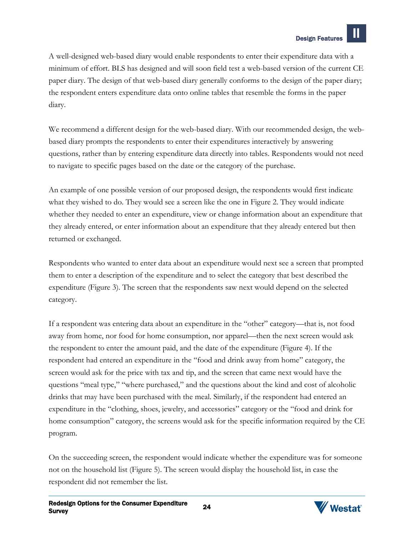A well-designed web-based diary would enable respondents to enter their expenditure data with a minimum of effort. BLS has designed and will soon field test a web-based version of the current CE paper diary. The design of that web-based diary generally conforms to the design of the paper diary; the respondent enters expenditure data onto online tables that resemble the forms in the paper diary.

We recommend a different design for the web-based diary. With our recommended design, the webbased diary prompts the respondents to enter their expenditures interactively by answering questions, rather than by entering expenditure data directly into tables. Respondents would not need to navigate to specific pages based on the date or the category of the purchase.

An example of one possible version of our proposed design, the respondents would first indicate what they wished to do. They would see a screen like the one in Figure 2. They would indicate whether they needed to enter an expenditure, view or change information about an expenditure that they already entered, or enter information about an expenditure that they already entered but then returned or exchanged.

Respondents who wanted to enter data about an expenditure would next see a screen that prompted them to enter a description of the expenditure and to select the category that best described the expenditure (Figure 3). The screen that the respondents saw next would depend on the selected category.

If a respondent was entering data about an expenditure in the "other" category—that is, not food away from home, nor food for home consumption, nor apparel—then the next screen would ask the respondent to enter the amount paid, and the date of the expenditure (Figure 4). If the respondent had entered an expenditure in the "food and drink away from home" category, the screen would ask for the price with tax and tip, and the screen that came next would have the questions "meal type," "where purchased," and the questions about the kind and cost of alcoholic drinks that may have been purchased with the meal. Similarly, if the respondent had entered an expenditure in the "clothing, shoes, jewelry, and accessories" category or the "food and drink for home consumption" category, the screens would ask for the specific information required by the CE program.

On the succeeding screen, the respondent would indicate whether the expenditure was for someone not on the household list (Figure 5). The screen would display the household list, in case the respondent did not remember the list.

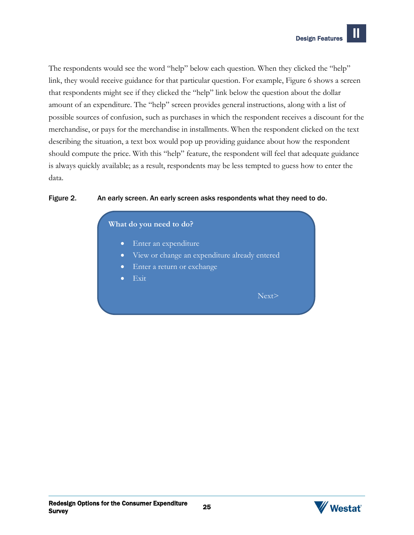The respondents would see the word "help" below each question. When they clicked the "help" link, they would receive guidance for that particular question. For example, Figure 6 shows a screen that respondents might see if they clicked the "help" link below the question about the dollar amount of an expenditure. The "help" screen provides general instructions, along with a list of possible sources of confusion, such as purchases in which the respondent receives a discount for the merchandise, or pays for the merchandise in installments. When the respondent clicked on the text describing the situation, a text box would pop up providing guidance about how the respondent should compute the price. With this "help" feature, the respondent will feel that adequate guidance is always quickly available; as a result, respondents may be less tempted to guess how to enter the data.

#### <span id="page-35-0"></span>Figure 2. An early screen. An early screen asks respondents what they need to do.



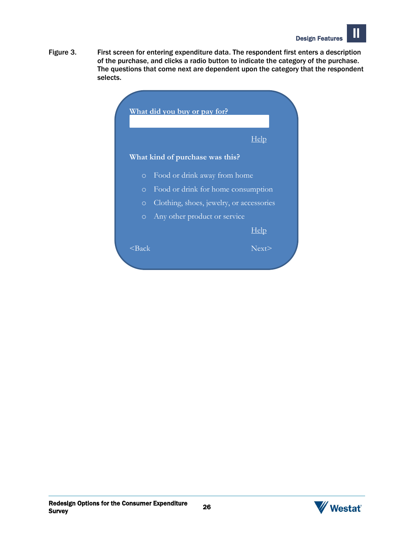Figure 3. First screen for entering expenditure data. The respondent first enters a description of the purchase, and clicks a radio button to indicate the category of the purchase. The questions that come next are dependent upon the category that the respondent selects.

|                  | Help                                     |
|------------------|------------------------------------------|
|                  | What kind of purchase was this?          |
| $\circ$          | Food or drink away from home             |
| $\bigcap$        | Food or drink for home consumption       |
| $\circ$          | Clothing, shoes, jewelry, or accessories |
| $\circ$          | Any other product or service             |
|                  | Help                                     |
| $\triangle$ Back | Next                                     |

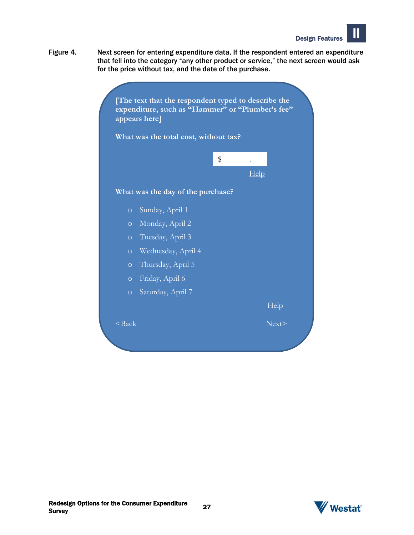Figure 4. Next screen for entering expenditure data. If the respondent entered an expenditure that fell into the category "any other product or service," the next screen would ask for the price without tax, and the date of the purchase.



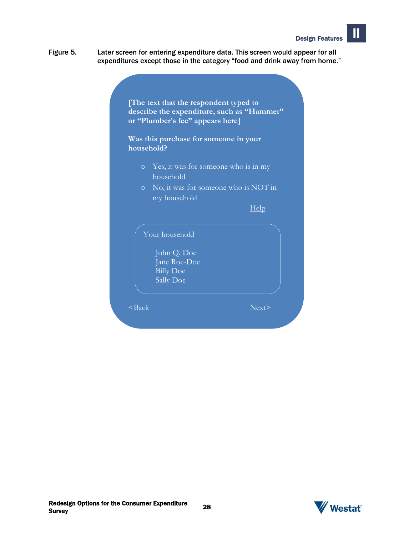Figure 5. Later screen for entering expenditure data. This screen would appear for all expenditures except those in the category "food and drink away from home."

> **[The text that the respondent typed to describe the expenditure, such as "Hammer" or "Plumber's fee" appears here] Was this purchase for someone in your household?** o Yes, it was for someone who is in my household o No, it was for someone who is NOT in my household Help <Back Next> Your household John Q. Doe Jane Roe-Doe Billy Doe Sally Doe

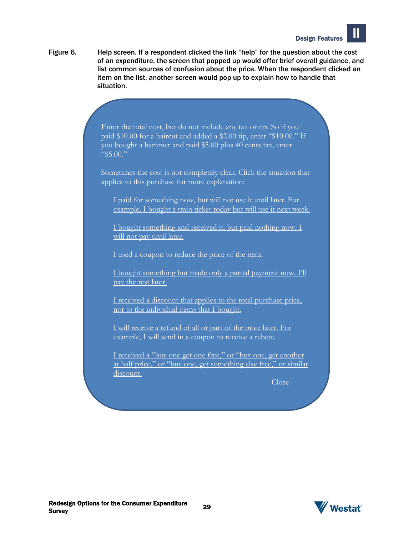Figure 6. Help screen. If a respondent clicked the link "help" for the question about the cost of an expenditure, the screen that popped up would offer brief overall guidance, and list common sources of confusion about the price. When the respondent clicked an item on the list, another screen would pop up to explain how to handle that situation.

> Enter the total cost, but do not include any tax or tip. So if you paid \$10.00 for a haircut and added a \$2.00 tip, enter "\$10.00." If you bought a hammer and paid \$5.00 plus 40 cents tax, enter  $\frac{1}{10}$   $\frac{1}{100}$   $\frac{1}{100}$

Sometimes the cost is not completely clear. Click the situation that applies to this purchase for more explanation:

I paid for something now, but will not use it until later. For example, I bought a train ticket today but will use it next week.

I bought something and received it, but paid nothing now. I will not pay until later.

I used a coupon to reduce the price of the item.

I bought something but made only a partial payment now. I'll pay the rest later.

I received a discount that applies to the total purchase price, not to the individual items that I bought.

I will receive a refund of all or part of the price later. For example, I will send in a coupon to receive a rebate.

I received a "buy one get one free," or "buy one, get another at half price," or "buy one, get something else free," or similar discount.

Close

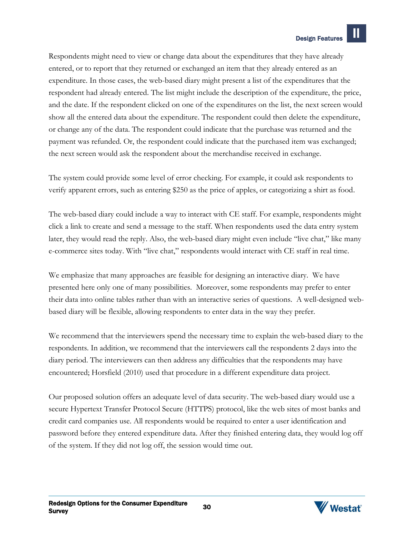Respondents might need to view or change data about the expenditures that they have already entered, or to report that they returned or exchanged an item that they already entered as an expenditure. In those cases, the web-based diary might present a list of the expenditures that the respondent had already entered. The list might include the description of the expenditure, the price, and the date. If the respondent clicked on one of the expenditures on the list, the next screen would show all the entered data about the expenditure. The respondent could then delete the expenditure, or change any of the data. The respondent could indicate that the purchase was returned and the payment was refunded. Or, the respondent could indicate that the purchased item was exchanged; the next screen would ask the respondent about the merchandise received in exchange.

The system could provide some level of error checking. For example, it could ask respondents to verify apparent errors, such as entering \$250 as the price of apples, or categorizing a shirt as food.

The web-based diary could include a way to interact with CE staff. For example, respondents might click a link to create and send a message to the staff. When respondents used the data entry system later, they would read the reply. Also, the web-based diary might even include "live chat," like many e-commerce sites today. With "live chat," respondents would interact with CE staff in real time.

We emphasize that many approaches are feasible for designing an interactive diary. We have presented here only one of many possibilities. Moreover, some respondents may prefer to enter their data into online tables rather than with an interactive series of questions. A well-designed webbased diary will be flexible, allowing respondents to enter data in the way they prefer.

We recommend that the interviewers spend the necessary time to explain the web-based diary to the respondents. In addition, we recommend that the interviewers call the respondents 2 days into the diary period. The interviewers can then address any difficulties that the respondents may have encountered; Horsfield (2010) used that procedure in a different expenditure data project.

Our proposed solution offers an adequate level of data security. The web-based diary would use a secure Hypertext Transfer Protocol Secure (HTTPS) protocol, like the web sites of most banks and credit card companies use. All respondents would be required to enter a user identification and password before they entered expenditure data. After they finished entering data, they would log off of the system. If they did not log off, the session would time out.

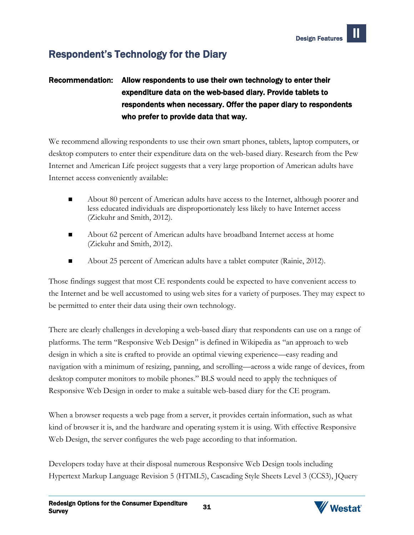# Respondent's Technology for the Diary

#### Recommendation: Allow respondents to use their own technology to enter their expenditure data on the web-based diary. Provide tablets to respondents when necessary. Offer the paper diary to respondents who prefer to provide data that way.

We recommend allowing respondents to use their own smart phones, tablets, laptop computers, or desktop computers to enter their expenditure data on the web-based diary. Research from the Pew Internet and American Life project suggests that a very large proportion of American adults have Internet access conveniently available:

- About 80 percent of American adults have access to the Internet, although poorer and less educated individuals are disproportionately less likely to have Internet access (Zickuhr and Smith, 2012).
- About 62 percent of American adults have broadband Internet access at home (Zickuhr and Smith, 2012).
- About 25 percent of American adults have a tablet computer (Rainie, 2012).

Those findings suggest that most CE respondents could be expected to have convenient access to the Internet and be well accustomed to using web sites for a variety of purposes. They may expect to be permitted to enter their data using their own technology.

There are clearly challenges in developing a web-based diary that respondents can use on a range of platforms. The term "Responsive Web Design" is defined in Wikipedia as "an approach to web design in which a site is crafted to provide an optimal viewing experience—easy reading and navigation with a minimum of resizing, panning, and scrolling—across a wide range of devices, from desktop computer monitors to mobile phones." BLS would need to apply the techniques of Responsive Web Design in order to make a suitable web-based diary for the CE program.

When a browser requests a web page from a server, it provides certain information, such as what kind of browser it is, and the hardware and operating system it is using. With effective Responsive Web Design, the server configures the web page according to that information.

Developers today have at their disposal numerous Responsive Web Design tools including Hypertext Markup Language Revision 5 (HTML5), Cascading Style Sheets Level 3 (CCS3), JQuery

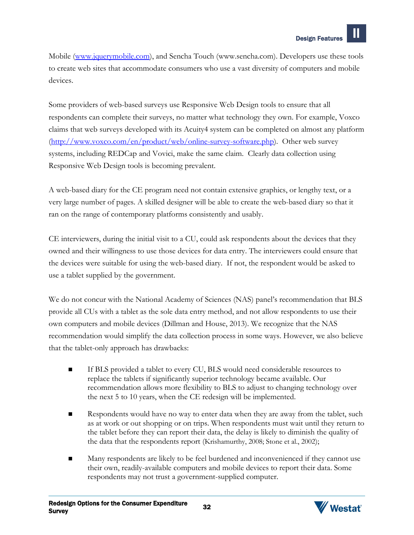Mobile [\(www.jquerymobile.com\)](http://jquerymobile.com/), and Sencha Touch (www.sencha.com). Developers use these tools to create web sites that accommodate consumers who use a vast diversity of computers and mobile devices.

Some providers of web-based surveys use Responsive Web Design tools to ensure that all respondents can complete their surveys, no matter what technology they own. For example, Voxco claims that web surveys developed with its Acuity4 system can be completed on almost any platform [\(http://www.voxco.com/en/product/web/online-survey-software.php\)](http://www.voxco.com/en/product/web/online-survey-software.php). Other web survey systems, including REDCap and Vovici, make the same claim. Clearly data collection using Responsive Web Design tools is becoming prevalent.

A web-based diary for the CE program need not contain extensive graphics, or lengthy text, or a very large number of pages. A skilled designer will be able to create the web-based diary so that it ran on the range of contemporary platforms consistently and usably.

CE interviewers, during the initial visit to a CU, could ask respondents about the devices that they owned and their willingness to use those devices for data entry. The interviewers could ensure that the devices were suitable for using the web-based diary. If not, the respondent would be asked to use a tablet supplied by the government.

We do not concur with the National Academy of Sciences (NAS) panel's recommendation that BLS provide all CUs with a tablet as the sole data entry method, and not allow respondents to use their own computers and mobile devices (Dillman and House, 2013). We recognize that the NAS recommendation would simplify the data collection process in some ways. However, we also believe that the tablet-only approach has drawbacks:

- If BLS provided a tablet to every CU, BLS would need considerable resources to replace the tablets if significantly superior technology became available. Our recommendation allows more flexibility to BLS to adjust to changing technology over the next 5 to 10 years, when the CE redesign will be implemented.
- Respondents would have no way to enter data when they are away from the tablet, such as at work or out shopping or on trips. When respondents must wait until they return to the tablet before they can report their data, the delay is likely to diminish the quality of the data that the respondents report (Krishamurthy, 2008; Stone et al., 2002);
- Many respondents are likely to be feel burdened and inconvenienced if they cannot use their own, readily-available computers and mobile devices to report their data. Some respondents may not trust a government-supplied computer.

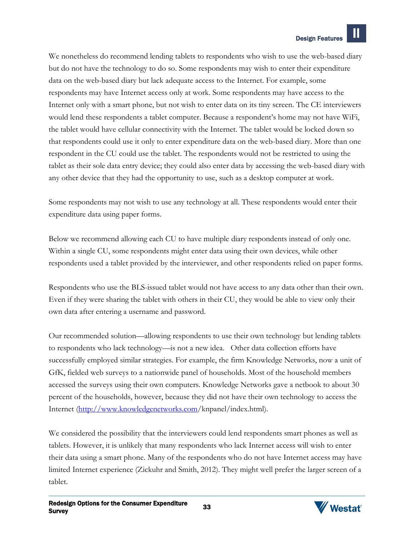We nonetheless do recommend lending tablets to respondents who wish to use the web-based diary but do not have the technology to do so. Some respondents may wish to enter their expenditure data on the web-based diary but lack adequate access to the Internet. For example, some respondents may have Internet access only at work. Some respondents may have access to the Internet only with a smart phone, but not wish to enter data on its tiny screen. The CE interviewers would lend these respondents a tablet computer. Because a respondent's home may not have WiFi, the tablet would have cellular connectivity with the Internet. The tablet would be locked down so that respondents could use it only to enter expenditure data on the web-based diary. More than one respondent in the CU could use the tablet. The respondents would not be restricted to using the tablet as their sole data entry device; they could also enter data by accessing the web-based diary with any other device that they had the opportunity to use, such as a desktop computer at work.

Some respondents may not wish to use any technology at all. These respondents would enter their expenditure data using paper forms.

Below we recommend allowing each CU to have multiple diary respondents instead of only one. Within a single CU, some respondents might enter data using their own devices, while other respondents used a tablet provided by the interviewer, and other respondents relied on paper forms.

Respondents who use the BLS-issued tablet would not have access to any data other than their own. Even if they were sharing the tablet with others in their CU, they would be able to view only their own data after entering a username and password.

Our recommended solution—allowing respondents to use their own technology but lending tablets to respondents who lack technology—is not a new idea. Other data collection efforts have successfully employed similar strategies. For example, the firm Knowledge Networks, now a unit of GfK, fielded web surveys to a nationwide panel of households. Most of the household members accessed the surveys using their own computers. Knowledge Networks gave a netbook to about 30 percent of the households, however, because they did not have their own technology to access the Internet [\(http://www.knowledgenetworks.com/](http://www.knowledgenetworks.com/)knpanel/index.html).

We considered the possibility that the interviewers could lend respondents smart phones as well as tablets. However, it is unlikely that many respondents who lack Internet access will wish to enter their data using a smart phone. Many of the respondents who do not have Internet access may have limited Internet experience (Zickuhr and Smith, 2012). They might well prefer the larger screen of a tablet.

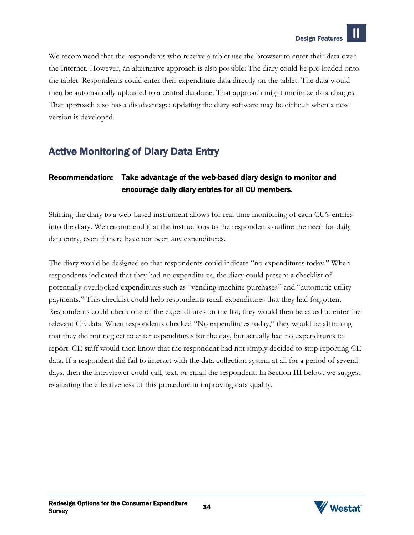We recommend that the respondents who receive a tablet use the browser to enter their data over the Internet. However, an alternative approach is also possible: The diary could be pre-loaded onto the tablet. Respondents could enter their expenditure data directly on the tablet. The data would then be automatically uploaded to a central database. That approach might minimize data charges. That approach also has a disadvantage: updating the diary software may be difficult when a new version is developed.

# Active Monitoring of Diary Data Entry

#### Recommendation: Take advantage of the web-based diary design to monitor and encourage daily diary entries for all CU members.

Shifting the diary to a web-based instrument allows for real time monitoring of each CU's entries into the diary. We recommend that the instructions to the respondents outline the need for daily data entry, even if there have not been any expenditures.

The diary would be designed so that respondents could indicate "no expenditures today." When respondents indicated that they had no expenditures, the diary could present a checklist of potentially overlooked expenditures such as "vending machine purchases" and "automatic utility payments." This checklist could help respondents recall expenditures that they had forgotten. Respondents could check one of the expenditures on the list; they would then be asked to enter the relevant CE data. When respondents checked "No expenditures today," they would be affirming that they did not neglect to enter expenditures for the day, but actually had no expenditures to report. CE staff would then know that the respondent had not simply decided to stop reporting CE data. If a respondent did fail to interact with the data collection system at all for a period of several days, then the interviewer could call, text, or email the respondent. In Section III below, we suggest evaluating the effectiveness of this procedure in improving data quality.

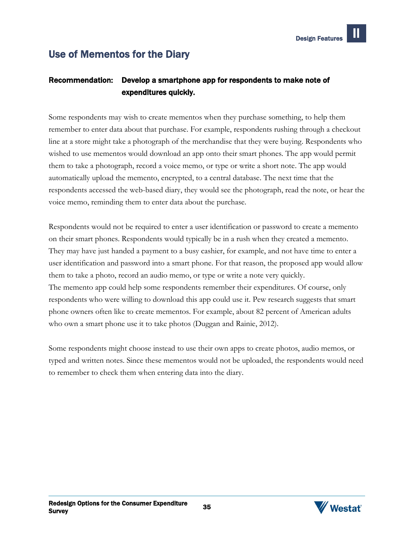# Use of Mementos for the Diary

#### Recommendation: Develop a smartphone app for respondents to make note of expenditures quickly.

Some respondents may wish to create mementos when they purchase something, to help them remember to enter data about that purchase. For example, respondents rushing through a checkout line at a store might take a photograph of the merchandise that they were buying. Respondents who wished to use mementos would download an app onto their smart phones. The app would permit them to take a photograph, record a voice memo, or type or write a short note. The app would automatically upload the memento, encrypted, to a central database. The next time that the respondents accessed the web-based diary, they would see the photograph, read the note, or hear the voice memo, reminding them to enter data about the purchase.

Respondents would not be required to enter a user identification or password to create a memento on their smart phones. Respondents would typically be in a rush when they created a memento. They may have just handed a payment to a busy cashier, for example, and not have time to enter a user identification and password into a smart phone. For that reason, the proposed app would allow them to take a photo, record an audio memo, or type or write a note very quickly. The memento app could help some respondents remember their expenditures. Of course, only respondents who were willing to download this app could use it. Pew research suggests that smart phone owners often like to create mementos. For example, about 82 percent of American adults who own a smart phone use it to take photos (Duggan and Rainie, 2012).

Some respondents might choose instead to use their own apps to create photos, audio memos, or typed and written notes. Since these mementos would not be uploaded, the respondents would need to remember to check them when entering data into the diary.

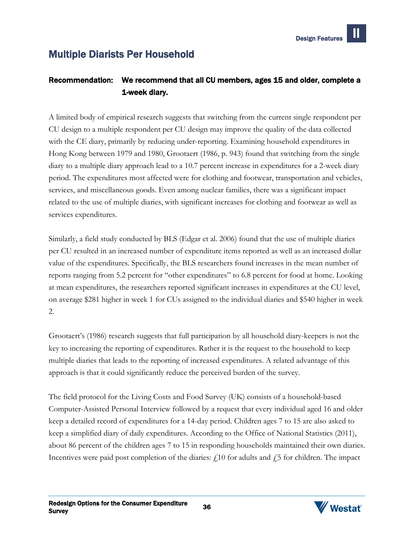# Multiple Diarists Per Household

#### Recommendation: We recommend that all CU members, ages 15 and older, complete a 1-week diary.

A limited body of empirical research suggests that switching from the current single respondent per CU design to a multiple respondent per CU design may improve the quality of the data collected with the CE diary, primarily by reducing under-reporting. Examining household expenditures in Hong Kong between 1979 and 1980, Grootaert (1986, p. 943) found that switching from the single diary to a multiple diary approach lead to a 10.7 percent increase in expenditures for a 2-week diary period. The expenditures most affected were for clothing and footwear, transportation and vehicles, services, and miscellaneous goods. Even among nuclear families, there was a significant impact related to the use of multiple diaries, with significant increases for clothing and footwear as well as services expenditures.

Similarly, a field study conducted by BLS (Edgar et al. 2006) found that the use of multiple diaries per CU resulted in an increased number of expenditure items reported as well as an increased dollar value of the expenditures. Specifically, the BLS researchers found increases in the mean number of reports ranging from 5.2 percent for "other expenditures" to 6.8 percent for food at home. Looking at mean expenditures, the researchers reported significant increases in expenditures at the CU level, on average \$281 higher in week 1 for CUs assigned to the individual diaries and \$540 higher in week 2.

Grootaert's (1986) research suggests that full participation by all household diary-keepers is not the key to increasing the reporting of expenditures. Rather it is the request to the household to keep multiple diaries that leads to the reporting of increased expenditures. A related advantage of this approach is that it could significantly reduce the perceived burden of the survey.

The field protocol for the Living Costs and Food Survey (UK) consists of a household-based Computer-Assisted Personal Interview followed by a request that every individual aged 16 and older keep a detailed record of expenditures for a 14-day period. Children ages 7 to 15 are also asked to keep a simplified diary of daily expenditures. According to the Office of National Statistics (2011), about 86 percent of the children ages 7 to 15 in responding households maintained their own diaries. Incentives were paid post completion of the diaries:  $\angle 10$  for adults and  $\angle 5$  for children. The impact

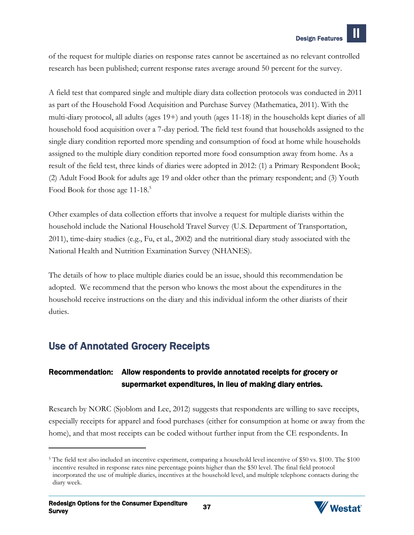of the request for multiple diaries on response rates cannot be ascertained as no relevant controlled research has been published; current response rates average around 50 percent for the survey.

A field test that compared single and multiple diary data collection protocols was conducted in 2011 as part of the Household Food Acquisition and Purchase Survey (Mathematica, 2011). With the multi-diary protocol, all adults (ages 19+) and youth (ages 11-18) in the households kept diaries of all household food acquisition over a 7-day period. The field test found that households assigned to the single diary condition reported more spending and consumption of food at home while households assigned to the multiple diary condition reported more food consumption away from home. As a result of the field test, three kinds of diaries were adopted in 2012: (1) a Primary Respondent Book; (2) Adult Food Book for adults age 19 and older other than the primary respondent; and (3) Youth Food Book for those age 11-18.<sup>5</sup>

Other examples of data collection efforts that involve a request for multiple diarists within the household include the National Household Travel Survey (U.S. Department of Transportation, 2011), time-dairy studies (e.g., Fu, et al., 2002) and the nutritional diary study associated with the National Health and Nutrition Examination Survey (NHANES).

The details of how to place multiple diaries could be an issue, should this recommendation be adopted. We recommend that the person who knows the most about the expenditures in the household receive instructions on the diary and this individual inform the other diarists of their duties.

## Use of Annotated Grocery Receipts

#### Recommendation: Allow respondents to provide annotated receipts for grocery or supermarket expenditures, in lieu of making diary entries.

Research by NORC (Sjoblom and Lee, 2012) suggests that respondents are willing to save receipts, especially receipts for apparel and food purchases (either for consumption at home or away from the home), and that most receipts can be coded without further input from the CE respondents. In

 $\overline{a}$ 



<sup>&</sup>lt;sup>5</sup> The field test also included an incentive experiment, comparing a household level incentive of \$50 vs. \$100. The \$100 incentive resulted in response rates nine percentage points higher than the \$50 level. The final field protocol incorporated the use of multiple diaries, incentives at the household level, and multiple telephone contacts during the diary week.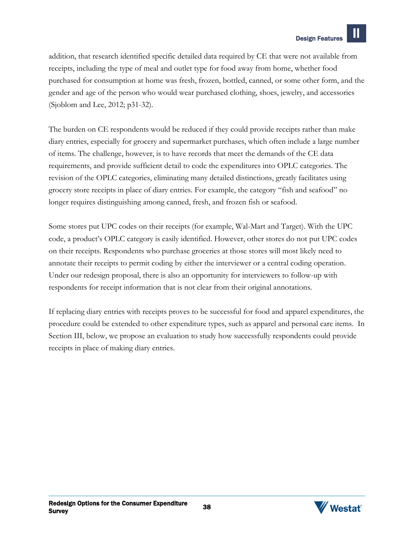addition, that research identified specific detailed data required by CE that were not available from receipts, including the type of meal and outlet type for food away from home, whether food purchased for consumption at home was fresh, frozen, bottled, canned, or some other form, and the gender and age of the person who would wear purchased clothing, shoes, jewelry, and accessories (Sjoblom and Lee, 2012; p31-32).

The burden on CE respondents would be reduced if they could provide receipts rather than make diary entries, especially for grocery and supermarket purchases, which often include a large number of items. The challenge, however, is to have records that meet the demands of the CE data requirements, and provide sufficient detail to code the expenditures into OPLC categories. The revision of the OPLC categories, eliminating many detailed distinctions, greatly facilitates using grocery store receipts in place of diary entries. For example, the category "fish and seafood" no longer requires distinguishing among canned, fresh, and frozen fish or seafood.

Some stores put UPC codes on their receipts (for example, Wal-Mart and Target). With the UPC code, a product's OPLC category is easily identified. However, other stores do not put UPC codes on their receipts. Respondents who purchase groceries at those stores will most likely need to annotate their receipts to permit coding by either the interviewer or a central coding operation. Under our redesign proposal, there is also an opportunity for interviewers to follow-up with respondents for receipt information that is not clear from their original annotations.

If replacing diary entries with receipts proves to be successful for food and apparel expenditures, the procedure could be extended to other expenditure types, such as apparel and personal care items. In Section III, below, we propose an evaluation to study how successfully respondents could provide receipts in place of making diary entries.

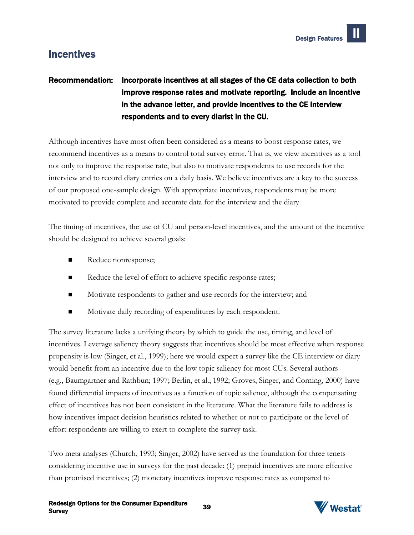

#### Incentives

#### Recommendation: Incorporate incentives at all stages of the CE data collection to both improve response rates and motivate reporting. Include an incentive in the advance letter, and provide incentives to the CE interview respondents and to every diarist in the CU.

Although incentives have most often been considered as a means to boost response rates, we recommend incentives as a means to control total survey error. That is, we view incentives as a tool not only to improve the response rate, but also to motivate respondents to use records for the interview and to record diary entries on a daily basis. We believe incentives are a key to the success of our proposed one-sample design. With appropriate incentives, respondents may be more motivated to provide complete and accurate data for the interview and the diary.

The timing of incentives, the use of CU and person-level incentives, and the amount of the incentive should be designed to achieve several goals:

- Reduce nonresponse;
- Reduce the level of effort to achieve specific response rates;
- Motivate respondents to gather and use records for the interview; and
- Motivate daily recording of expenditures by each respondent.

The survey literature lacks a unifying theory by which to guide the use, timing, and level of incentives. Leverage saliency theory suggests that incentives should be most effective when response propensity is low (Singer, et al., 1999); here we would expect a survey like the CE interview or diary would benefit from an incentive due to the low topic saliency for most CUs. Several authors (e.g., Baumgartner and Rathbun; 1997; Berlin, et al., 1992; Groves, Singer, and Corning, 2000) have found differential impacts of incentives as a function of topic salience, although the compensating effect of incentives has not been consistent in the literature. What the literature fails to address is how incentives impact decision heuristics related to whether or not to participate or the level of effort respondents are willing to exert to complete the survey task.

Two meta analyses (Church, 1993; Singer, 2002) have served as the foundation for three tenets considering incentive use in surveys for the past decade: (1) prepaid incentives are more effective than promised incentives; (2) monetary incentives improve response rates as compared to

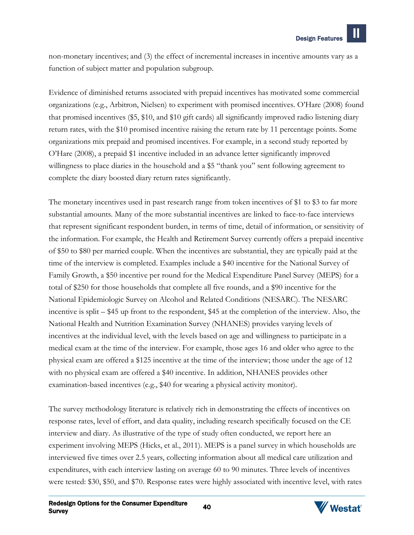non-monetary incentives; and (3) the effect of incremental increases in incentive amounts vary as a function of subject matter and population subgroup.

Evidence of diminished returns associated with prepaid incentives has motivated some commercial organizations (e.g., Arbitron, Nielsen) to experiment with promised incentives. O'Hare (2008) found that promised incentives (\$5, \$10, and \$10 gift cards) all significantly improved radio listening diary return rates, with the \$10 promised incentive raising the return rate by 11 percentage points. Some organizations mix prepaid and promised incentives. For example, in a second study reported by O'Hare (2008), a prepaid \$1 incentive included in an advance letter significantly improved willingness to place diaries in the household and a \$5 "thank you" sent following agreement to complete the diary boosted diary return rates significantly.

The monetary incentives used in past research range from token incentives of \$1 to \$3 to far more substantial amounts. Many of the more substantial incentives are linked to face-to-face interviews that represent significant respondent burden, in terms of time, detail of information, or sensitivity of the information. For example, the Health and Retirement Survey currently offers a prepaid incentive of \$50 to \$80 per married couple. When the incentives are substantial, they are typically paid at the time of the interview is completed. Examples include a \$40 incentive for the National Survey of Family Growth, a \$50 incentive per round for the Medical Expenditure Panel Survey (MEPS) for a total of \$250 for those households that complete all five rounds, and a \$90 incentive for the National Epidemiologic Survey on Alcohol and Related Conditions (NESARC). The NESARC incentive is split – \$45 up front to the respondent, \$45 at the completion of the interview. Also, the National Health and Nutrition Examination Survey (NHANES) provides varying levels of incentives at the individual level, with the levels based on age and willingness to participate in a medical exam at the time of the interview. For example, those ages 16 and older who agree to the physical exam are offered a \$125 incentive at the time of the interview; those under the age of 12 with no physical exam are offered a \$40 incentive. In addition, NHANES provides other examination-based incentives (e.g., \$40 for wearing a physical activity monitor).

The survey methodology literature is relatively rich in demonstrating the effects of incentives on response rates, level of effort, and data quality, including research specifically focused on the CE interview and diary. As illustrative of the type of study often conducted, we report here an experiment involving MEPS (Hicks, et al., 2011). MEPS is a panel survey in which households are interviewed five times over 2.5 years, collecting information about all medical care utilization and expenditures, with each interview lasting on average 60 to 90 minutes. Three levels of incentives were tested: \$30, \$50, and \$70. Response rates were highly associated with incentive level, with rates

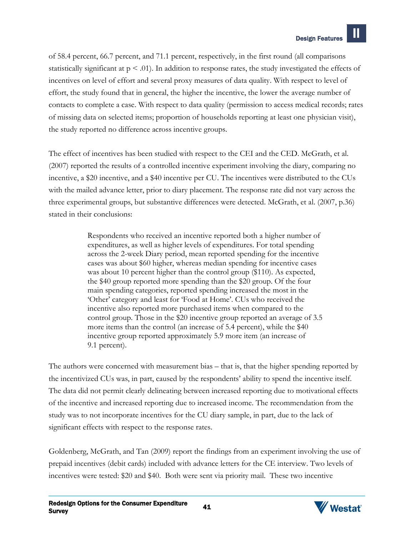of 58.4 percent, 66.7 percent, and 71.1 percent, respectively, in the first round (all comparisons statistically significant at  $p \leq 0.01$ . In addition to response rates, the study investigated the effects of incentives on level of effort and several proxy measures of data quality. With respect to level of effort, the study found that in general, the higher the incentive, the lower the average number of contacts to complete a case. With respect to data quality (permission to access medical records; rates of missing data on selected items; proportion of households reporting at least one physician visit), the study reported no difference across incentive groups.

The effect of incentives has been studied with respect to the CEI and the CED. McGrath, et al. (2007) reported the results of a controlled incentive experiment involving the diary, comparing no incentive, a \$20 incentive, and a \$40 incentive per CU. The incentives were distributed to the CUs with the mailed advance letter, prior to diary placement. The response rate did not vary across the three experimental groups, but substantive differences were detected. McGrath, et al. (2007, p.36) stated in their conclusions:

> Respondents who received an incentive reported both a higher number of expenditures, as well as higher levels of expenditures. For total spending across the 2-week Diary period, mean reported spending for the incentive cases was about \$60 higher, whereas median spending for incentive cases was about 10 percent higher than the control group (\$110). As expected, the \$40 group reported more spending than the \$20 group. Of the four main spending categories, reported spending increased the most in the 'Other' category and least for 'Food at Home'. CUs who received the incentive also reported more purchased items when compared to the control group. Those in the \$20 incentive group reported an average of 3.5 more items than the control (an increase of 5.4 percent), while the \$40 incentive group reported approximately 5.9 more item (an increase of 9.1 percent).

The authors were concerned with measurement bias – that is, that the higher spending reported by the incentivized CUs was, in part, caused by the respondents' ability to spend the incentive itself. The data did not permit clearly delineating between increased reporting due to motivational effects of the incentive and increased reporting due to increased income. The recommendation from the study was to not incorporate incentives for the CU diary sample, in part, due to the lack of significant effects with respect to the response rates.

Goldenberg, McGrath, and Tan (2009) report the findings from an experiment involving the use of prepaid incentives (debit cards) included with advance letters for the CE interview. Two levels of incentives were tested: \$20 and \$40. Both were sent via priority mail. These two incentive

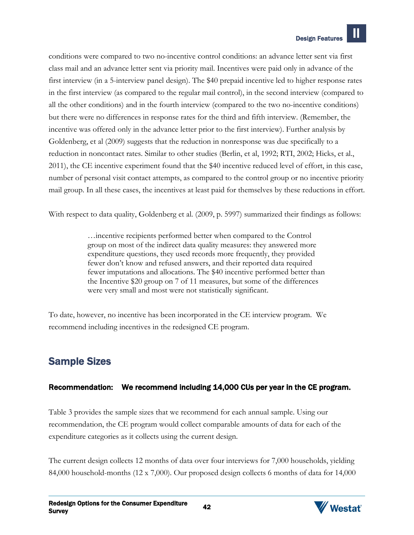conditions were compared to two no-incentive control conditions: an advance letter sent via first class mail and an advance letter sent via priority mail. Incentives were paid only in advance of the first interview (in a 5-interview panel design). The \$40 prepaid incentive led to higher response rates in the first interview (as compared to the regular mail control), in the second interview (compared to all the other conditions) and in the fourth interview (compared to the two no-incentive conditions) but there were no differences in response rates for the third and fifth interview. (Remember, the incentive was offered only in the advance letter prior to the first interview). Further analysis by Goldenberg, et al (2009) suggests that the reduction in nonresponse was due specifically to a reduction in noncontact rates. Similar to other studies (Berlin, et al, 1992; RTI, 2002; Hicks, et al., 2011), the CE incentive experiment found that the \$40 incentive reduced level of effort, in this case, number of personal visit contact attempts, as compared to the control group or no incentive priority mail group. In all these cases, the incentives at least paid for themselves by these reductions in effort.

With respect to data quality, Goldenberg et al. (2009, p. 5997) summarized their findings as follows:

…incentive recipients performed better when compared to the Control group on most of the indirect data quality measures: they answered more expenditure questions, they used records more frequently, they provided fewer don't know and refused answers, and their reported data required fewer imputations and allocations. The \$40 incentive performed better than the Incentive \$20 group on 7 of 11 measures, but some of the differences were very small and most were not statistically significant.

To date, however, no incentive has been incorporated in the CE interview program. We recommend including incentives in the redesigned CE program.

# Sample Sizes

#### Recommendation: We recommend including 14,000 CUs per year in the CE program.

Table 3 provides the sample sizes that we recommend for each annual sample. Using our recommendation, the CE program would collect comparable amounts of data for each of the expenditure categories as it collects using the current design.

The current design collects 12 months of data over four interviews for 7,000 households, yielding 84,000 household-months (12 x 7,000). Our proposed design collects 6 months of data for 14,000

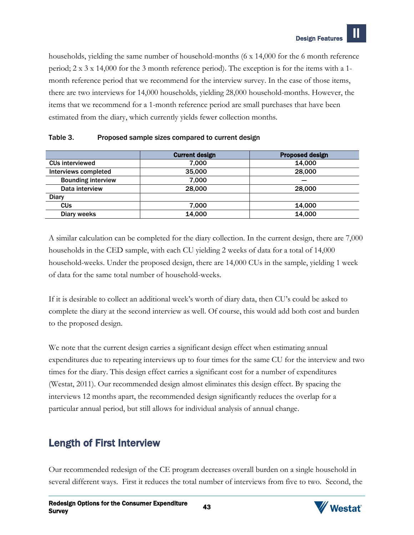households, yielding the same number of household-months (6 x 14,000 for the 6 month reference period; 2 x 3 x 14,000 for the 3 month reference period). The exception is for the items with a 1 month reference period that we recommend for the interview survey. In the case of those items, there are two interviews for 14,000 households, yielding 28,000 household-months. However, the items that we recommend for a 1-month reference period are small purchases that have been estimated from the diary, which currently yields fewer collection months.

|                           | <b>Current design</b> | <b>Proposed design</b> |
|---------------------------|-----------------------|------------------------|
| <b>CUs interviewed</b>    | 7,000                 | 14,000                 |
| Interviews completed      | 35,000                | 28,000                 |
| <b>Bounding interview</b> | 7,000                 |                        |
| Data interview            | 28,000                | 28,000                 |
| Diary                     |                       |                        |
| <b>CU<sub>s</sub></b>     | 7,000                 | 14.000                 |
| Diary weeks               | 14.000                | 14,000                 |

#### Table 3. Proposed sample sizes compared to current design

A similar calculation can be completed for the diary collection. In the current design, there are 7,000 households in the CED sample, with each CU yielding 2 weeks of data for a total of 14,000 household-weeks. Under the proposed design, there are 14,000 CUs in the sample, yielding 1 week of data for the same total number of household-weeks.

If it is desirable to collect an additional week's worth of diary data, then CU's could be asked to complete the diary at the second interview as well. Of course, this would add both cost and burden to the proposed design.

We note that the current design carries a significant design effect when estimating annual expenditures due to repeating interviews up to four times for the same CU for the interview and two times for the diary. This design effect carries a significant cost for a number of expenditures (Westat, 2011). Our recommended design almost eliminates this design effect. By spacing the interviews 12 months apart, the recommended design significantly reduces the overlap for a particular annual period, but still allows for individual analysis of annual change.

### Length of First Interview

Our recommended redesign of the CE program decreases overall burden on a single household in several different ways. First it reduces the total number of interviews from five to two. Second, the

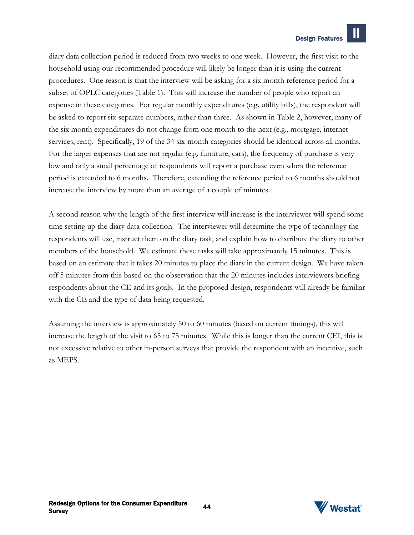diary data collection period is reduced from two weeks to one week. However, the first visit to the household using our recommended procedure will likely be longer than it is using the current procedures. One reason is that the interview will be asking for a six month reference period for a subset of OPLC categories (Table 1). This will increase the number of people who report an expense in these categories. For regular monthly expenditures (e.g. utility bills), the respondent will be asked to report six separate numbers, rather than three. As shown in Table 2, however, many of the six month expenditures do not change from one month to the next (e.g., mortgage, internet services, rent). Specifically, 19 of the 34 six-month categories should be identical across all months. For the larger expenses that are not regular (e.g. furniture, cars), the frequency of purchase is very low and only a small percentage of respondents will report a purchase even when the reference period is extended to 6 months. Therefore, extending the reference period to 6 months should not increase the interview by more than an average of a couple of minutes.

A second reason why the length of the first interview will increase is the interviewer will spend some time setting up the diary data collection. The interviewer will determine the type of technology the respondents will use, instruct them on the diary task, and explain how to distribute the diary to other members of the household. We estimate these tasks will take approximately 15 minutes. This is based on an estimate that it takes 20 minutes to place the diary in the current design. We have taken off 5 minutes from this based on the observation that the 20 minutes includes interviewers briefing respondents about the CE and its goals. In the proposed design, respondents will already be familiar with the CE and the type of data being requested.

Assuming the interview is approximately 50 to 60 minutes (based on current timings), this will increase the length of the visit to 65 to 75 minutes. While this is longer than the current CEI, this is not excessive relative to other in-person surveys that provide the respondent with an incentive, such as MEPS.

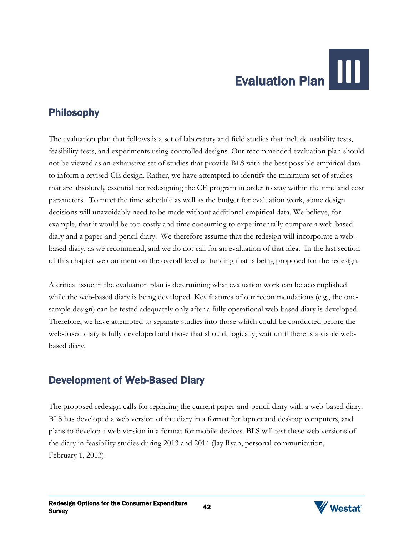## Philosophy

The evaluation plan that follows is a set of laboratory and field studies that include usability tests, feasibility tests, and experiments using controlled designs. Our recommended evaluation plan should not be viewed as an exhaustive set of studies that provide BLS with the best possible empirical data to inform a revised CE design. Rather, we have attempted to identify the minimum set of studies that are absolutely essential for redesigning the CE program in order to stay within the time and cost parameters. To meet the time schedule as well as the budget for evaluation work, some design decisions will unavoidably need to be made without additional empirical data. We believe, for example, that it would be too costly and time consuming to experimentally compare a web-based diary and a paper-and-pencil diary. We therefore assume that the redesign will incorporate a webbased diary, as we recommend, and we do not call for an evaluation of that idea. In the last section of this chapter we comment on the overall level of funding that is being proposed for the redesign.

A critical issue in the evaluation plan is determining what evaluation work can be accomplished while the web-based diary is being developed. Key features of our recommendations (e.g., the onesample design) can be tested adequately only after a fully operational web-based diary is developed. Therefore, we have attempted to separate studies into those which could be conducted before the web-based diary is fully developed and those that should, logically, wait until there is a viable webbased diary.

### Development of Web-Based Diary

The proposed redesign calls for replacing the current paper-and-pencil diary with a web-based diary. BLS has developed a web version of the diary in a format for laptop and desktop computers, and plans to develop a web version in a format for mobile devices. BLS will test these web versions of the diary in feasibility studies during 2013 and 2014 (Jay Ryan, personal communication, February 1, 2013).

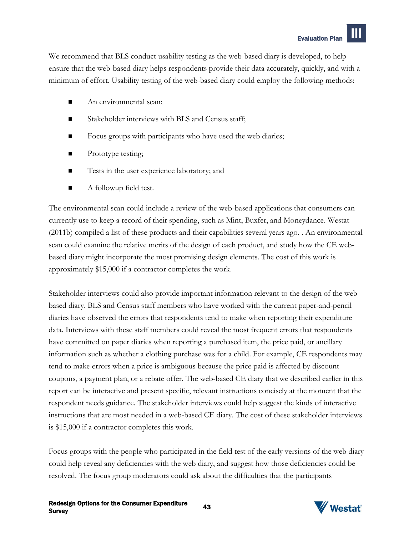We recommend that BLS conduct usability testing as the web-based diary is developed, to help ensure that the web-based diary helps respondents provide their data accurately, quickly, and with a minimum of effort. Usability testing of the web-based diary could employ the following methods:

- An environmental scan:
- Stakeholder interviews with BLS and Census staff;
- Focus groups with participants who have used the web diaries;
- Prototype testing;
- Tests in the user experience laboratory; and
- A followup field test.

The environmental scan could include a review of the web-based applications that consumers can currently use to keep a record of their spending, such as Mint, Buxfer, and Moneydance. Westat (2011b) compiled a list of these products and their capabilities several years ago. . An environmental scan could examine the relative merits of the design of each product, and study how the CE webbased diary might incorporate the most promising design elements. The cost of this work is approximately \$15,000 if a contractor completes the work.

Stakeholder interviews could also provide important information relevant to the design of the webbased diary. BLS and Census staff members who have worked with the current paper-and-pencil diaries have observed the errors that respondents tend to make when reporting their expenditure data. Interviews with these staff members could reveal the most frequent errors that respondents have committed on paper diaries when reporting a purchased item, the price paid, or ancillary information such as whether a clothing purchase was for a child. For example, CE respondents may tend to make errors when a price is ambiguous because the price paid is affected by discount coupons, a payment plan, or a rebate offer. The web-based CE diary that we described earlier in this report can be interactive and present specific, relevant instructions concisely at the moment that the respondent needs guidance. The stakeholder interviews could help suggest the kinds of interactive instructions that are most needed in a web-based CE diary. The cost of these stakeholder interviews is \$15,000 if a contractor completes this work.

Focus groups with the people who participated in the field test of the early versions of the web diary could help reveal any deficiencies with the web diary, and suggest how those deficiencies could be resolved. The focus group moderators could ask about the difficulties that the participants

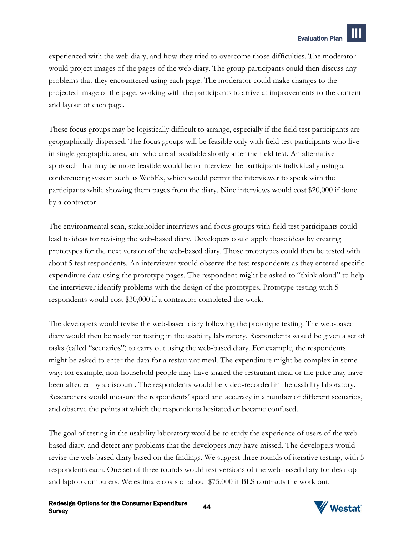experienced with the web diary, and how they tried to overcome those difficulties. The moderator would project images of the pages of the web diary. The group participants could then discuss any problems that they encountered using each page. The moderator could make changes to the projected image of the page, working with the participants to arrive at improvements to the content and layout of each page.

These focus groups may be logistically difficult to arrange, especially if the field test participants are geographically dispersed. The focus groups will be feasible only with field test participants who live in single geographic area, and who are all available shortly after the field test. An alternative approach that may be more feasible would be to interview the participants individually using a conferencing system such as WebEx, which would permit the interviewer to speak with the participants while showing them pages from the diary. Nine interviews would cost \$20,000 if done by a contractor.

The environmental scan, stakeholder interviews and focus groups with field test participants could lead to ideas for revising the web-based diary. Developers could apply those ideas by creating prototypes for the next version of the web-based diary. Those prototypes could then be tested with about 5 test respondents. An interviewer would observe the test respondents as they entered specific expenditure data using the prototype pages. The respondent might be asked to "think aloud" to help the interviewer identify problems with the design of the prototypes. Prototype testing with 5 respondents would cost \$30,000 if a contractor completed the work.

The developers would revise the web-based diary following the prototype testing. The web-based diary would then be ready for testing in the usability laboratory. Respondents would be given a set of tasks (called "scenarios") to carry out using the web-based diary. For example, the respondents might be asked to enter the data for a restaurant meal. The expenditure might be complex in some way; for example, non-household people may have shared the restaurant meal or the price may have been affected by a discount. The respondents would be video-recorded in the usability laboratory. Researchers would measure the respondents' speed and accuracy in a number of different scenarios, and observe the points at which the respondents hesitated or became confused.

The goal of testing in the usability laboratory would be to study the experience of users of the webbased diary, and detect any problems that the developers may have missed. The developers would revise the web-based diary based on the findings. We suggest three rounds of iterative testing, with 5 respondents each. One set of three rounds would test versions of the web-based diary for desktop and laptop computers. We estimate costs of about \$75,000 if BLS contracts the work out.

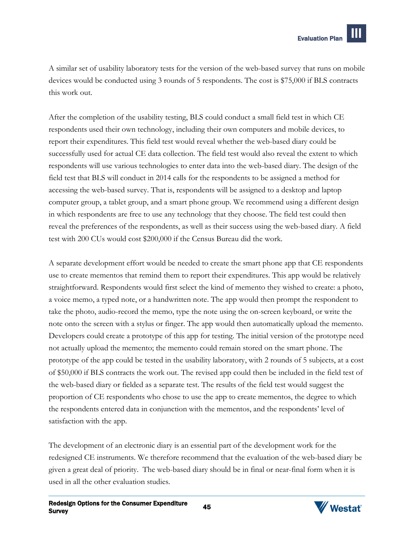A similar set of usability laboratory tests for the version of the web-based survey that runs on mobile devices would be conducted using 3 rounds of 5 respondents. The cost is \$75,000 if BLS contracts this work out.

After the completion of the usability testing, BLS could conduct a small field test in which CE respondents used their own technology, including their own computers and mobile devices, to report their expenditures. This field test would reveal whether the web-based diary could be successfully used for actual CE data collection. The field test would also reveal the extent to which respondents will use various technologies to enter data into the web-based diary. The design of the field test that BLS will conduct in 2014 calls for the respondents to be assigned a method for accessing the web-based survey. That is, respondents will be assigned to a desktop and laptop computer group, a tablet group, and a smart phone group. We recommend using a different design in which respondents are free to use any technology that they choose. The field test could then reveal the preferences of the respondents, as well as their success using the web-based diary. A field test with 200 CUs would cost \$200,000 if the Census Bureau did the work.

A separate development effort would be needed to create the smart phone app that CE respondents use to create mementos that remind them to report their expenditures. This app would be relatively straightforward. Respondents would first select the kind of memento they wished to create: a photo, a voice memo, a typed note, or a handwritten note. The app would then prompt the respondent to take the photo, audio-record the memo, type the note using the on-screen keyboard, or write the note onto the screen with a stylus or finger. The app would then automatically upload the memento. Developers could create a prototype of this app for testing. The initial version of the prototype need not actually upload the memento; the memento could remain stored on the smart phone. The prototype of the app could be tested in the usability laboratory, with 2 rounds of 5 subjects, at a cost of \$50,000 if BLS contracts the work out. The revised app could then be included in the field test of the web-based diary or fielded as a separate test. The results of the field test would suggest the proportion of CE respondents who chose to use the app to create mementos, the degree to which the respondents entered data in conjunction with the mementos, and the respondents' level of satisfaction with the app.

The development of an electronic diary is an essential part of the development work for the redesigned CE instruments. We therefore recommend that the evaluation of the web-based diary be given a great deal of priority. The web-based diary should be in final or near-final form when it is used in all the other evaluation studies.

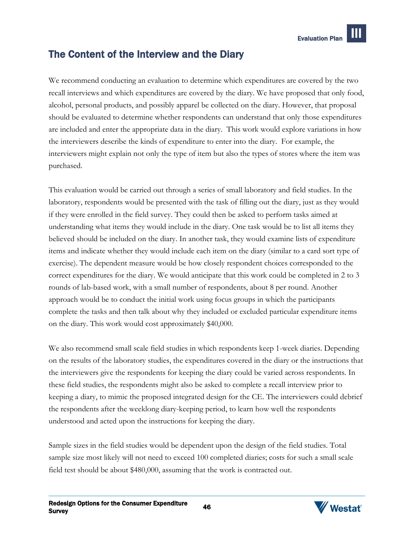### The Content of the Interview and the Diary

We recommend conducting an evaluation to determine which expenditures are covered by the two recall interviews and which expenditures are covered by the diary. We have proposed that only food, alcohol, personal products, and possibly apparel be collected on the diary. However, that proposal should be evaluated to determine whether respondents can understand that only those expenditures are included and enter the appropriate data in the diary. This work would explore variations in how the interviewers describe the kinds of expenditure to enter into the diary. For example, the interviewers might explain not only the type of item but also the types of stores where the item was purchased.

This evaluation would be carried out through a series of small laboratory and field studies. In the laboratory, respondents would be presented with the task of filling out the diary, just as they would if they were enrolled in the field survey. They could then be asked to perform tasks aimed at understanding what items they would include in the diary. One task would be to list all items they believed should be included on the diary. In another task, they would examine lists of expenditure items and indicate whether they would include each item on the diary (similar to a card sort type of exercise). The dependent measure would be how closely respondent choices corresponded to the correct expenditures for the diary. We would anticipate that this work could be completed in 2 to 3 rounds of lab-based work, with a small number of respondents, about 8 per round. Another approach would be to conduct the initial work using focus groups in which the participants complete the tasks and then talk about why they included or excluded particular expenditure items on the diary. This work would cost approximately \$40,000.

We also recommend small scale field studies in which respondents keep 1-week diaries. Depending on the results of the laboratory studies, the expenditures covered in the diary or the instructions that the interviewers give the respondents for keeping the diary could be varied across respondents. In these field studies, the respondents might also be asked to complete a recall interview prior to keeping a diary, to mimic the proposed integrated design for the CE. The interviewers could debrief the respondents after the weeklong diary-keeping period, to learn how well the respondents understood and acted upon the instructions for keeping the diary.

Sample sizes in the field studies would be dependent upon the design of the field studies. Total sample size most likely will not need to exceed 100 completed diaries; costs for such a small scale field test should be about \$480,000, assuming that the work is contracted out.

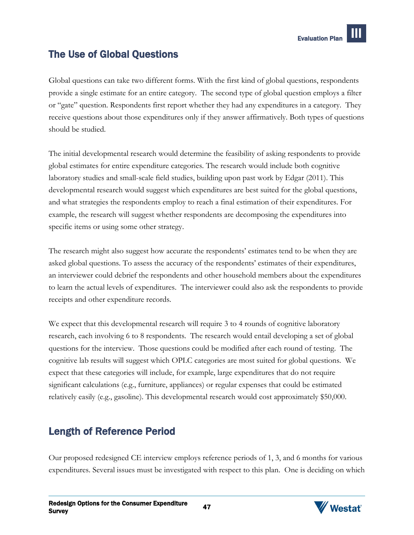

## The Use of Global Questions

Global questions can take two different forms. With the first kind of global questions, respondents provide a single estimate for an entire category. The second type of global question employs a filter or "gate" question. Respondents first report whether they had any expenditures in a category. They receive questions about those expenditures only if they answer affirmatively. Both types of questions should be studied.

The initial developmental research would determine the feasibility of asking respondents to provide global estimates for entire expenditure categories. The research would include both cognitive laboratory studies and small-scale field studies, building upon past work by Edgar (2011). This developmental research would suggest which expenditures are best suited for the global questions, and what strategies the respondents employ to reach a final estimation of their expenditures. For example, the research will suggest whether respondents are decomposing the expenditures into specific items or using some other strategy.

The research might also suggest how accurate the respondents' estimates tend to be when they are asked global questions. To assess the accuracy of the respondents' estimates of their expenditures, an interviewer could debrief the respondents and other household members about the expenditures to learn the actual levels of expenditures. The interviewer could also ask the respondents to provide receipts and other expenditure records.

We expect that this developmental research will require 3 to 4 rounds of cognitive laboratory research, each involving 6 to 8 respondents. The research would entail developing a set of global questions for the interview. Those questions could be modified after each round of testing. The cognitive lab results will suggest which OPLC categories are most suited for global questions. We expect that these categories will include, for example, large expenditures that do not require significant calculations (e.g., furniture, appliances) or regular expenses that could be estimated relatively easily (e.g., gasoline). This developmental research would cost approximately \$50,000.

## Length of Reference Period

Our proposed redesigned CE interview employs reference periods of 1, 3, and 6 months for various expenditures. Several issues must be investigated with respect to this plan. One is deciding on which

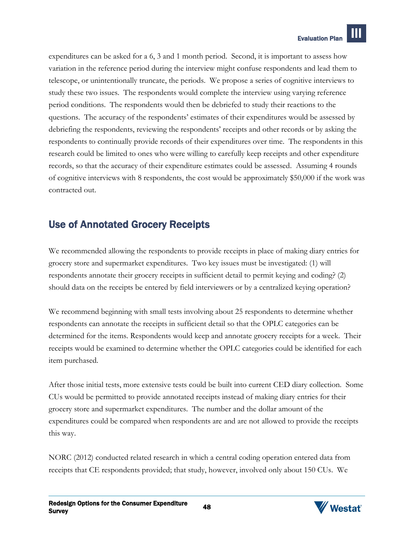expenditures can be asked for a 6, 3 and 1 month period. Second, it is important to assess how variation in the reference period during the interview might confuse respondents and lead them to telescope, or unintentionally truncate, the periods. We propose a series of cognitive interviews to study these two issues. The respondents would complete the interview using varying reference period conditions. The respondents would then be debriefed to study their reactions to the questions. The accuracy of the respondents' estimates of their expenditures would be assessed by debriefing the respondents, reviewing the respondents' receipts and other records or by asking the respondents to continually provide records of their expenditures over time. The respondents in this research could be limited to ones who were willing to carefully keep receipts and other expenditure records, so that the accuracy of their expenditure estimates could be assessed. Assuming 4 rounds of cognitive interviews with 8 respondents, the cost would be approximately \$50,000 if the work was contracted out.

## Use of Annotated Grocery Receipts

We recommended allowing the respondents to provide receipts in place of making diary entries for grocery store and supermarket expenditures. Two key issues must be investigated: (1) will respondents annotate their grocery receipts in sufficient detail to permit keying and coding? (2) should data on the receipts be entered by field interviewers or by a centralized keying operation?

We recommend beginning with small tests involving about 25 respondents to determine whether respondents can annotate the receipts in sufficient detail so that the OPLC categories can be determined for the items. Respondents would keep and annotate grocery receipts for a week. Their receipts would be examined to determine whether the OPLC categories could be identified for each item purchased.

After those initial tests, more extensive tests could be built into current CED diary collection. Some CUs would be permitted to provide annotated receipts instead of making diary entries for their grocery store and supermarket expenditures. The number and the dollar amount of the expenditures could be compared when respondents are and are not allowed to provide the receipts this way.

NORC (2012) conducted related research in which a central coding operation entered data from receipts that CE respondents provided; that study, however, involved only about 150 CUs. We

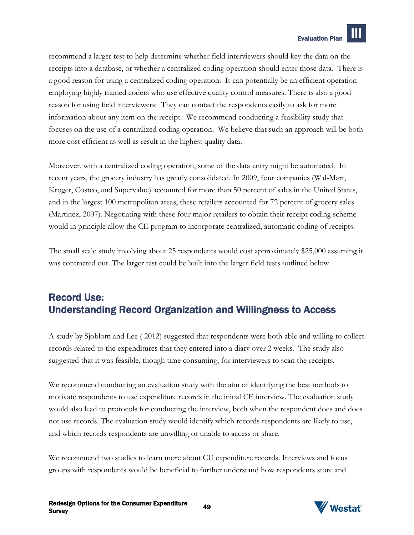recommend a larger test to help determine whether field interviewers should key the data on the receipts into a database, or whether a centralized coding operation should enter those data. There is a good reason for using a centralized coding operation: It can potentially be an efficient operation employing highly trained coders who use effective quality control measures. There is also a good reason for using field interviewers: They can contact the respondents easily to ask for more information about any item on the receipt. We recommend conducting a feasibility study that focuses on the use of a centralized coding operation. We believe that such an approach will be both more cost efficient as well as result in the highest quality data.

Moreover, with a centralized coding operation, some of the data entry might be automated. In recent years, the grocery industry has greatly consolidated. In 2009, four companies (Wal-Mart, Kroger, Costco, and Supervalue) accounted for more than 50 percent of sales in the United States, and in the largest 100 metropolitan areas, these retailers accounted for 72 percent of grocery sales (Martinez, 2007). Negotiating with these four major retailers to obtain their receipt coding scheme would in principle allow the CE program to incorporate centralized, automatic coding of receipts.

The small scale study involving about 25 respondents would cost approximately \$25,000 assuming it was contracted out. The larger test could be built into the larger field tests outlined below.

# Record Use: Understanding Record Organization and Willingness to Access

A study by Sjoblom and Lee ( 2012) suggested that respondents were both able and willing to collect records related to the expenditures that they entered into a diary over 2 weeks. The study also suggested that it was feasible, though time consuming, for interviewers to scan the receipts.

We recommend conducting an evaluation study with the aim of identifying the best methods to motivate respondents to use expenditure records in the initial CE interview. The evaluation study would also lead to protocols for conducting the interview, both when the respondent does and does not use records. The evaluation study would identify which records respondents are likely to use, and which records respondents are unwilling or unable to access or share.

We recommend two studies to learn more about CU expenditure records. Interviews and focus groups with respondents would be beneficial to further understand how respondents store and

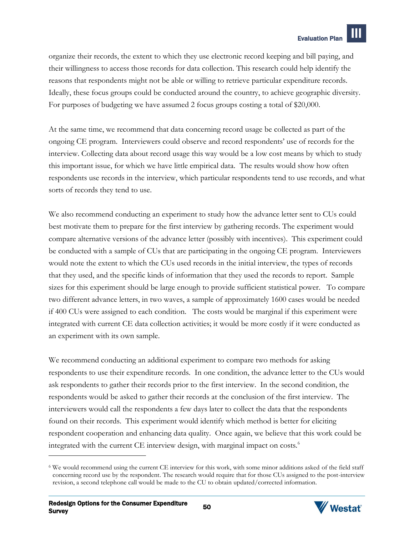organize their records, the extent to which they use electronic record keeping and bill paying, and their willingness to access those records for data collection. This research could help identify the reasons that respondents might not be able or willing to retrieve particular expenditure records. Ideally, these focus groups could be conducted around the country, to achieve geographic diversity. For purposes of budgeting we have assumed 2 focus groups costing a total of \$20,000.

At the same time, we recommend that data concerning record usage be collected as part of the ongoing CE program. Interviewers could observe and record respondents' use of records for the interview. Collecting data about record usage this way would be a low cost means by which to study this important issue, for which we have little empirical data. The results would show how often respondents use records in the interview, which particular respondents tend to use records, and what sorts of records they tend to use.

We also recommend conducting an experiment to study how the advance letter sent to CUs could best motivate them to prepare for the first interview by gathering records. The experiment would compare alternative versions of the advance letter (possibly with incentives). This experiment could be conducted with a sample of CUs that are participating in the ongoing CE program. Interviewers would note the extent to which the CUs used records in the initial interview, the types of records that they used, and the specific kinds of information that they used the records to report. Sample sizes for this experiment should be large enough to provide sufficient statistical power. To compare two different advance letters, in two waves, a sample of approximately 1600 cases would be needed if 400 CUs were assigned to each condition. The costs would be marginal if this experiment were integrated with current CE data collection activities; it would be more costly if it were conducted as an experiment with its own sample.

We recommend conducting an additional experiment to compare two methods for asking respondents to use their expenditure records. In one condition, the advance letter to the CUs would ask respondents to gather their records prior to the first interview. In the second condition, the respondents would be asked to gather their records at the conclusion of the first interview. The interviewers would call the respondents a few days later to collect the data that the respondents found on their records. This experiment would identify which method is better for eliciting respondent cooperation and enhancing data quality. Once again, we believe that this work could be integrated with the current CE interview design, with marginal impact on costs.<sup>6</sup>

 $\overline{a}$ 



<sup>6</sup> We would recommend using the current CE interview for this work, with some minor additions asked of the field staff concerning record use by the respondent. The research would require that for those CUs assigned to the post-interview revision, a second telephone call would be made to the CU to obtain updated/corrected information.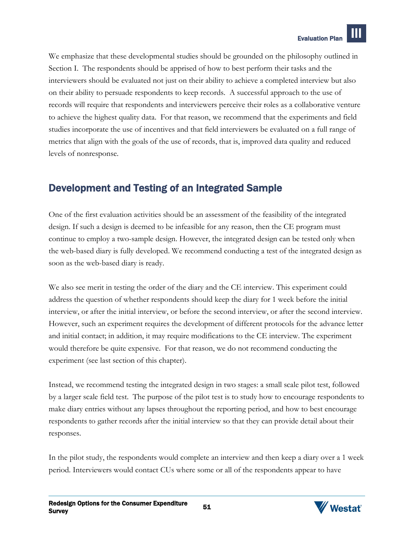We emphasize that these developmental studies should be grounded on the philosophy outlined in Section I. The respondents should be apprised of how to best perform their tasks and the interviewers should be evaluated not just on their ability to achieve a completed interview but also on their ability to persuade respondents to keep records. A successful approach to the use of records will require that respondents and interviewers perceive their roles as a collaborative venture to achieve the highest quality data. For that reason, we recommend that the experiments and field studies incorporate the use of incentives and that field interviewers be evaluated on a full range of metrics that align with the goals of the use of records, that is, improved data quality and reduced levels of nonresponse.

## Development and Testing of an Integrated Sample

One of the first evaluation activities should be an assessment of the feasibility of the integrated design. If such a design is deemed to be infeasible for any reason, then the CE program must continue to employ a two-sample design. However, the integrated design can be tested only when the web-based diary is fully developed. We recommend conducting a test of the integrated design as soon as the web-based diary is ready.

We also see merit in testing the order of the diary and the CE interview. This experiment could address the question of whether respondents should keep the diary for 1 week before the initial interview, or after the initial interview, or before the second interview, or after the second interview. However, such an experiment requires the development of different protocols for the advance letter and initial contact; in addition, it may require modifications to the CE interview. The experiment would therefore be quite expensive. For that reason, we do not recommend conducting the experiment (see last section of this chapter).

Instead, we recommend testing the integrated design in two stages: a small scale pilot test, followed by a larger scale field test. The purpose of the pilot test is to study how to encourage respondents to make diary entries without any lapses throughout the reporting period, and how to best encourage respondents to gather records after the initial interview so that they can provide detail about their responses.

In the pilot study, the respondents would complete an interview and then keep a diary over a 1 week period. Interviewers would contact CUs where some or all of the respondents appear to have

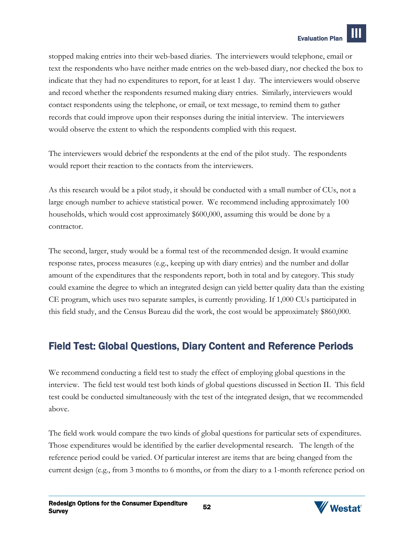stopped making entries into their web-based diaries. The interviewers would telephone, email or text the respondents who have neither made entries on the web-based diary, nor checked the box to indicate that they had no expenditures to report, for at least 1 day. The interviewers would observe and record whether the respondents resumed making diary entries. Similarly, interviewers would contact respondents using the telephone, or email, or text message, to remind them to gather records that could improve upon their responses during the initial interview. The interviewers would observe the extent to which the respondents complied with this request.

The interviewers would debrief the respondents at the end of the pilot study. The respondents would report their reaction to the contacts from the interviewers.

As this research would be a pilot study, it should be conducted with a small number of CUs, not a large enough number to achieve statistical power. We recommend including approximately 100 households, which would cost approximately \$600,000, assuming this would be done by a contractor.

The second, larger, study would be a formal test of the recommended design. It would examine response rates, process measures (e.g., keeping up with diary entries) and the number and dollar amount of the expenditures that the respondents report, both in total and by category. This study could examine the degree to which an integrated design can yield better quality data than the existing CE program, which uses two separate samples, is currently providing. If 1,000 CUs participated in this field study, and the Census Bureau did the work, the cost would be approximately \$860,000.

### Field Test: Global Questions, Diary Content and Reference Periods

We recommend conducting a field test to study the effect of employing global questions in the interview. The field test would test both kinds of global questions discussed in Section II. This field test could be conducted simultaneously with the test of the integrated design, that we recommended above.

The field work would compare the two kinds of global questions for particular sets of expenditures. Those expenditures would be identified by the earlier developmental research. The length of the reference period could be varied. Of particular interest are items that are being changed from the current design (e.g., from 3 months to 6 months, or from the diary to a 1-month reference period on

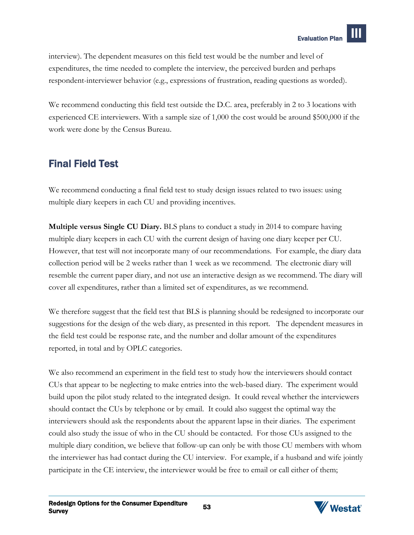interview). The dependent measures on this field test would be the number and level of expenditures, the time needed to complete the interview, the perceived burden and perhaps respondent-interviewer behavior (e.g., expressions of frustration, reading questions as worded).

We recommend conducting this field test outside the D.C. area, preferably in 2 to 3 locations with experienced CE interviewers. With a sample size of 1,000 the cost would be around \$500,000 if the work were done by the Census Bureau.

## Final Field Test

We recommend conducting a final field test to study design issues related to two issues: using multiple diary keepers in each CU and providing incentives.

**Multiple versus Single CU Diary.** BLS plans to conduct a study in 2014 to compare having multiple diary keepers in each CU with the current design of having one diary keeper per CU. However, that test will not incorporate many of our recommendations. For example, the diary data collection period will be 2 weeks rather than 1 week as we recommend. The electronic diary will resemble the current paper diary, and not use an interactive design as we recommend. The diary will cover all expenditures, rather than a limited set of expenditures, as we recommend.

We therefore suggest that the field test that BLS is planning should be redesigned to incorporate our suggestions for the design of the web diary, as presented in this report. The dependent measures in the field test could be response rate, and the number and dollar amount of the expenditures reported, in total and by OPLC categories.

We also recommend an experiment in the field test to study how the interviewers should contact CUs that appear to be neglecting to make entries into the web-based diary. The experiment would build upon the pilot study related to the integrated design. It could reveal whether the interviewers should contact the CUs by telephone or by email. It could also suggest the optimal way the interviewers should ask the respondents about the apparent lapse in their diaries. The experiment could also study the issue of who in the CU should be contacted. For those CUs assigned to the multiple diary condition, we believe that follow-up can only be with those CU members with whom the interviewer has had contact during the CU interview. For example, if a husband and wife jointly participate in the CE interview, the interviewer would be free to email or call either of them;

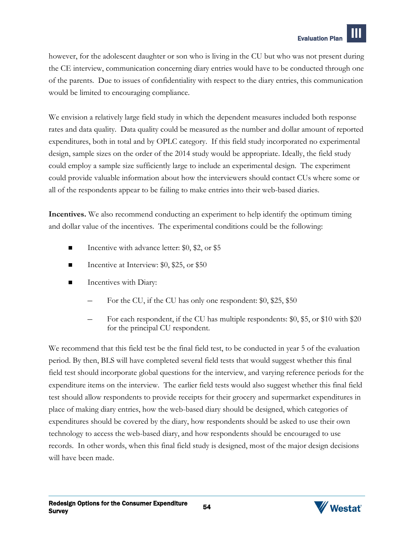however, for the adolescent daughter or son who is living in the CU but who was not present during the CE interview, communication concerning diary entries would have to be conducted through one of the parents. Due to issues of confidentiality with respect to the diary entries, this communication would be limited to encouraging compliance.

We envision a relatively large field study in which the dependent measures included both response rates and data quality. Data quality could be measured as the number and dollar amount of reported expenditures, both in total and by OPLC category. If this field study incorporated no experimental design, sample sizes on the order of the 2014 study would be appropriate. Ideally, the field study could employ a sample size sufficiently large to include an experimental design. The experiment could provide valuable information about how the interviewers should contact CUs where some or all of the respondents appear to be failing to make entries into their web-based diaries.

**Incentives.** We also recommend conducting an experiment to help identify the optimum timing and dollar value of the incentives. The experimental conditions could be the following:

- Incentive with advance letter: \$0, \$2, or \$5
- Incentive at Interview:  $$0, $25,$  or  $$50$
- Incentives with Diary:
	- For the CU, if the CU has only one respondent: \$0, \$25, \$50
	- For each respondent, if the CU has multiple respondents: \$0, \$5, or \$10 with \$20 for the principal CU respondent.

We recommend that this field test be the final field test, to be conducted in year 5 of the evaluation period. By then, BLS will have completed several field tests that would suggest whether this final field test should incorporate global questions for the interview, and varying reference periods for the expenditure items on the interview. The earlier field tests would also suggest whether this final field test should allow respondents to provide receipts for their grocery and supermarket expenditures in place of making diary entries, how the web-based diary should be designed, which categories of expenditures should be covered by the diary, how respondents should be asked to use their own technology to access the web-based diary, and how respondents should be encouraged to use records. In other words, when this final field study is designed, most of the major design decisions will have been made.

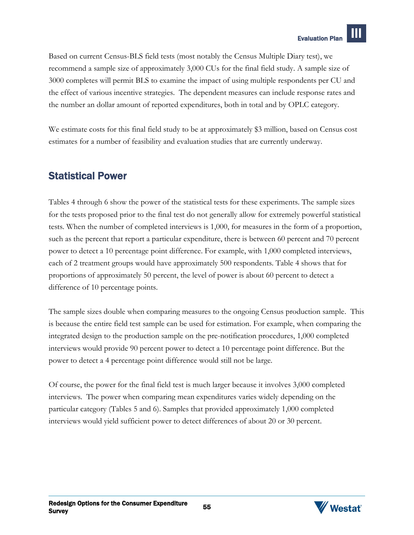Based on current Census-BLS field tests (most notably the Census Multiple Diary test), we recommend a sample size of approximately 3,000 CUs for the final field study. A sample size of 3000 completes will permit BLS to examine the impact of using multiple respondents per CU and the effect of various incentive strategies. The dependent measures can include response rates and the number an dollar amount of reported expenditures, both in total and by OPLC category.

We estimate costs for this final field study to be at approximately \$3 million, based on Census cost estimates for a number of feasibility and evaluation studies that are currently underway.

## Statistical Power

Tables 4 through 6 show the power of the statistical tests for these experiments. The sample sizes for the tests proposed prior to the final test do not generally allow for extremely powerful statistical tests. When the number of completed interviews is 1,000, for measures in the form of a proportion, such as the percent that report a particular expenditure, there is between 60 percent and 70 percent power to detect a 10 percentage point difference. For example, with 1,000 completed interviews, each of 2 treatment groups would have approximately 500 respondents. Table 4 shows that for proportions of approximately 50 percent, the level of power is about 60 percent to detect a difference of 10 percentage points.

The sample sizes double when comparing measures to the ongoing Census production sample. This is because the entire field test sample can be used for estimation. For example, when comparing the integrated design to the production sample on the pre-notification procedures, 1,000 completed interviews would provide 90 percent power to detect a 10 percentage point difference. But the power to detect a 4 percentage point difference would still not be large.

Of course, the power for the final field test is much larger because it involves 3,000 completed interviews. The power when comparing mean expenditures varies widely depending on the particular category (Tables 5 and 6). Samples that provided approximately 1,000 completed interviews would yield sufficient power to detect differences of about 20 or 30 percent.

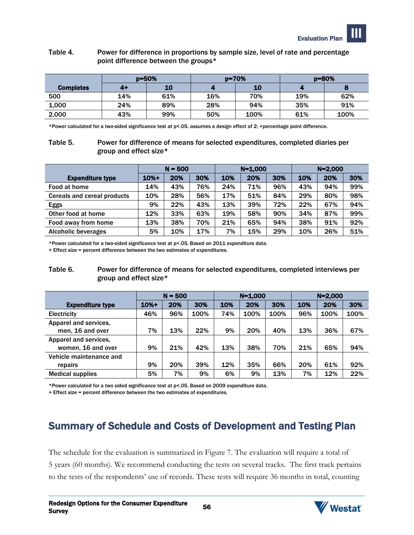

#### Table 4. Power for difference in proportions by sample size, level of rate and percentage point difference between the groups\*

|                  | $p = 50%$ |     |     | $p = 70%$ | $p = 80%$ |      |  |
|------------------|-----------|-----|-----|-----------|-----------|------|--|
| <b>Completes</b> | 4+        | 10  |     | 10        |           |      |  |
| 500              | 14%       | 61% | 16% | 70%       | 19%       | 62%  |  |
| 1,000            | 24%       | 89% | 28% | 94%       | 35%       | 91%  |  |
| 2,000            | 43%       | 99% | 50% | 100%      | 61%       | 100% |  |

\*Power calculated for a two-sided significance test at p<.05. assumes a design effect of 2; +percentage point difference.

#### Table 5. Power for difference of means for selected expenditures, completed diaries per group and effect size\*

|                             | $N = 500$ |     |     | $N=1,000$ |     |     | $N = 2,000$ |     |     |
|-----------------------------|-----------|-----|-----|-----------|-----|-----|-------------|-----|-----|
| <b>Expenditure type</b>     | $10% +$   | 20% | 30% | 10%       | 20% | 30% | 10%         | 20% | 30% |
| Food at home                | 14%       | 43% | 76% | 24%       | 71% | 96% | 43%         | 94% | 99% |
| Cereals and cereal products | 10%       | 28% | 56% | 17%       | 51% | 84% | 29%         | 80% | 98% |
| <b>Eggs</b>                 | 9%        | 22% | 43% | 13%       | 39% | 72% | 22%         | 67% | 94% |
| Other food at home          | 12%       | 33% | 63% | 19%       | 58% | 90% | 34%         | 87% | 99% |
| Food away from home         | 13%       | 38% | 70% | 21%       | 65% | 94% | 38%         | 91% | 92% |
| <b>Alcoholic beverages</b>  | 5%        | 10% | 17% | 7%        | 15% | 29% | 10%         | 26% | 51% |

\*Power calculated for a two-sided significance test at p<.05. Based on 2011 expenditure data.

+ Effect size = percent difference between the two estimates of expenditures.

#### Table 6. Power for difference of means for selected expenditures, completed interviews per group and effect size\*

|                         | $N = 500$ |     |      | $N=1,000$ |      |      | $N = 2,000$ |      |      |
|-------------------------|-----------|-----|------|-----------|------|------|-------------|------|------|
| <b>Expenditure type</b> | $10% +$   | 20% | 30%  | 10%       | 20%  | 30%  | 10%         | 20%  | 30%  |
| Electricity             | 46%       | 96% | 100% | 74%       | 100% | 100% | 96%         | 100% | 100% |
| Apparel and services.   |           |     |      |           |      |      |             |      |      |
| men, 16 and over        | 7%        | 13% | 22%  | 9%        | 20%  | 40%  | 13%         | 36%  | 67%  |
| Apparel and services,   |           |     |      |           |      |      |             |      |      |
| women, 16 and over      | 9%        | 21% | 42%  | 13%       | 38%  | 70%  | 21%         | 65%  | 94%  |
| Vehicle maintenance and |           |     |      |           |      |      |             |      |      |
| repairs                 | 9%        | 20% | 39%  | 12%       | 35%  | 66%  | 20%         | 61%  | 92%  |
| <b>Medical supplies</b> | 5%        | 7%  | 9%   | 6%        | 9%   | 13%  | 7%          | 12%  | 22%  |

\*Power calculated for a two sided significance test at p<.05. Based on 2009 expenditure data.

+ Effect size = percent difference between the two estimates of expenditures.

## Summary of Schedule and Costs of Development and Testing Plan

The schedule for the evaluation is summarized in Figure 7. The evaluation will require a total of 5 years (60 months). We recommend conducting the tests on several tracks. The first track pertains to the tests of the respondents' use of records. These tests will require 36 months in total, counting

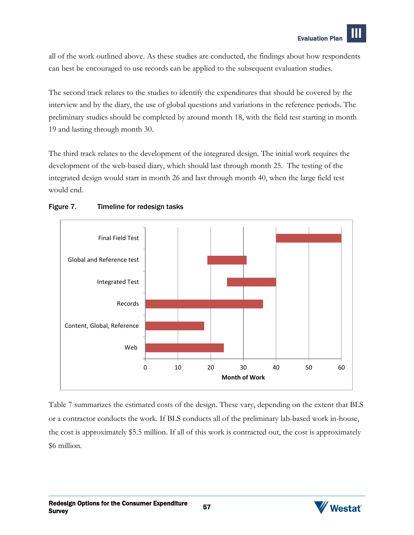all of the work outlined above. As these studies are conducted, the findings about how respondents can best be encouraged to use records can be applied to the subsequent evaluation studies.

The second track relates to the studies to identify the expenditures that should be covered by the interview and by the diary, the use of global questions and variations in the reference periods. The preliminary studies should be completed by around month 18, with the field test starting in month 19 and lasting through month 30.

The third track relates to the development of the integrated design. The initial work requires the development of the web-based diary, which should last through month 25. The testing of the integrated design would start in month 26 and last through month 40, when the large field test would end.



#### Figure 7. Timeline for redesign tasks

Table 7 summarizes the estimated costs of the design. These vary, depending on the extent that BLS or a contractor conducts the work. If BLS conducts all of the preliminary lab-based work in-house, the cost is approximately \$5.5 million. If all of this work is contracted out, the cost is approximately \$6 million.

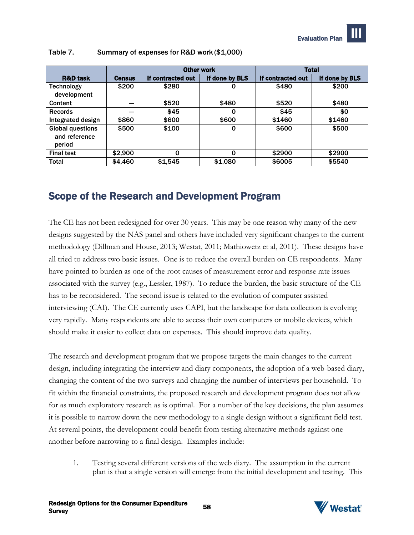

|                                                    |               | <b>Other work</b> |                | <b>Total</b>      |                |  |  |
|----------------------------------------------------|---------------|-------------------|----------------|-------------------|----------------|--|--|
| <b>R&amp;D task</b>                                | <b>Census</b> | If contracted out | If done by BLS | If contracted out | If done by BLS |  |  |
| Technology<br>development                          | \$200         | \$280             | O              | \$480             | \$200          |  |  |
| Content                                            |               | \$520             | \$480          | \$520             | \$480          |  |  |
| <b>Records</b>                                     |               | \$45              | 0              | \$45              | \$0            |  |  |
| Integrated design                                  | \$860         | \$600             | \$600          | \$1460            | \$1460         |  |  |
| <b>Global questions</b><br>and reference<br>period | \$500         | \$100             | 0              | \$600             | \$500          |  |  |
| <b>Final test</b>                                  | \$2,900       | 0                 | Ω              | \$2900            | \$2900         |  |  |
| Total                                              | \$4,460       | \$1,545           | \$1,080        | \$6005            | \$5540         |  |  |

#### Table 7. Summary of expenses for R&D work (\$1,000)

#### Scope of the Research and Development Program

The CE has not been redesigned for over 30 years. This may be one reason why many of the new designs suggested by the NAS panel and others have included very significant changes to the current methodology (Dillman and House, 2013; Westat, 2011; Mathiowetz et al, 2011). These designs have all tried to address two basic issues. One is to reduce the overall burden on CE respondents. Many have pointed to burden as one of the root causes of measurement error and response rate issues associated with the survey (e.g., Lessler, 1987). To reduce the burden, the basic structure of the CE has to be reconsidered. The second issue is related to the evolution of computer assisted interviewing (CAI). The CE currently uses CAPI, but the landscape for data collection is evolving very rapidly. Many respondents are able to access their own computers or mobile devices, which should make it easier to collect data on expenses. This should improve data quality.

The research and development program that we propose targets the main changes to the current design, including integrating the interview and diary components, the adoption of a web-based diary, changing the content of the two surveys and changing the number of interviews per household. To fit within the financial constraints, the proposed research and development program does not allow for as much exploratory research as is optimal. For a number of the key decisions, the plan assumes it is possible to narrow down the new methodology to a single design without a significant field test. At several points, the development could benefit from testing alternative methods against one another before narrowing to a final design. Examples include:

1. Testing several different versions of the web diary. The assumption in the current plan is that a single version will emerge from the initial development and testing. This

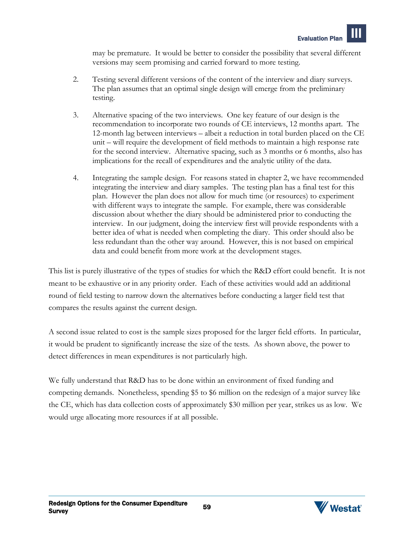may be premature. It would be better to consider the possibility that several different versions may seem promising and carried forward to more testing.

- 2. Testing several different versions of the content of the interview and diary surveys. The plan assumes that an optimal single design will emerge from the preliminary testing.
- 3. Alternative spacing of the two interviews. One key feature of our design is the recommendation to incorporate two rounds of CE interviews, 12 months apart. The 12-month lag between interviews – albeit a reduction in total burden placed on the CE unit – will require the development of field methods to maintain a high response rate for the second interview. Alternative spacing, such as 3 months or 6 months, also has implications for the recall of expenditures and the analytic utility of the data.
- 4. Integrating the sample design. For reasons stated in chapter 2, we have recommended integrating the interview and diary samples. The testing plan has a final test for this plan. However the plan does not allow for much time (or resources) to experiment with different ways to integrate the sample. For example, there was considerable discussion about whether the diary should be administered prior to conducting the interview. In our judgment, doing the interview first will provide respondents with a better idea of what is needed when completing the diary. This order should also be less redundant than the other way around. However, this is not based on empirical data and could benefit from more work at the development stages.

This list is purely illustrative of the types of studies for which the R&D effort could benefit. It is not meant to be exhaustive or in any priority order. Each of these activities would add an additional round of field testing to narrow down the alternatives before conducting a larger field test that compares the results against the current design.

A second issue related to cost is the sample sizes proposed for the larger field efforts. In particular, it would be prudent to significantly increase the size of the tests. As shown above, the power to detect differences in mean expenditures is not particularly high.

We fully understand that R&D has to be done within an environment of fixed funding and competing demands. Nonetheless, spending \$5 to \$6 million on the redesign of a major survey like the CE, which has data collection costs of approximately \$30 million per year, strikes us as low. We would urge allocating more resources if at all possible.

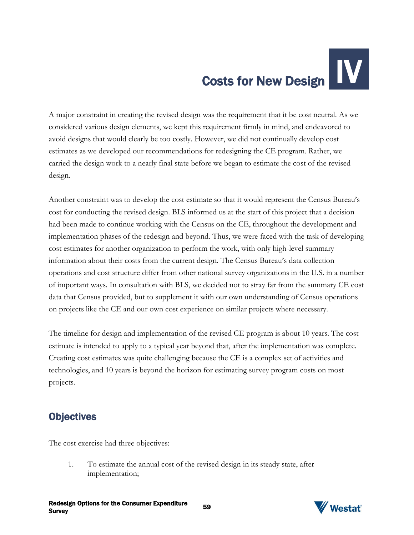# Costs for New Design

A major constraint in creating the revised design was the requirement that it be cost neutral. As we considered various design elements, we kept this requirement firmly in mind, and endeavored to avoid designs that would clearly be too costly. However, we did not continually develop cost estimates as we developed our recommendations for redesigning the CE program. Rather, we carried the design work to a nearly final state before we began to estimate the cost of the revised design.

Another constraint was to develop the cost estimate so that it would represent the Census Bureau's cost for conducting the revised design. BLS informed us at the start of this project that a decision had been made to continue working with the Census on the CE, throughout the development and implementation phases of the redesign and beyond. Thus, we were faced with the task of developing cost estimates for another organization to perform the work, with only high-level summary information about their costs from the current design. The Census Bureau's data collection operations and cost structure differ from other national survey organizations in the U.S. in a number of important ways. In consultation with BLS, we decided not to stray far from the summary CE cost data that Census provided, but to supplement it with our own understanding of Census operations on projects like the CE and our own cost experience on similar projects where necessary.

The timeline for design and implementation of the revised CE program is about 10 years. The cost estimate is intended to apply to a typical year beyond that, after the implementation was complete. Creating cost estimates was quite challenging because the CE is a complex set of activities and technologies, and 10 years is beyond the horizon for estimating survey program costs on most projects.

## **Objectives**

The cost exercise had three objectives:

1. To estimate the annual cost of the revised design in its steady state, after implementation;

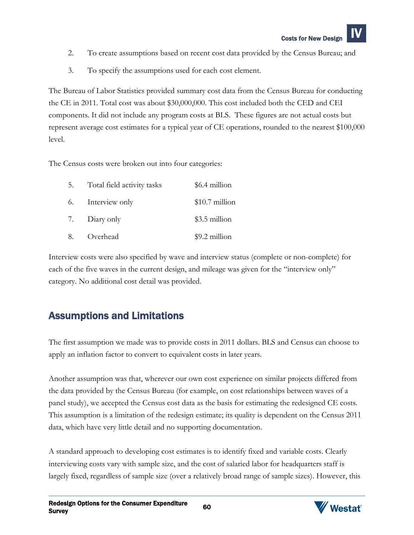- 2. To create assumptions based on recent cost data provided by the Census Bureau; and
- 3. To specify the assumptions used for each cost element.

The Bureau of Labor Statistics provided summary cost data from the Census Bureau for conducting the CE in 2011. Total cost was about \$30,000,000. This cost included both the CED and CEI components. It did not include any program costs at BLS. These figures are not actual costs but represent average cost estimates for a typical year of CE operations, rounded to the nearest \$100,000 level.

The Census costs were broken out into four categories:

| 5. | Total field activity tasks | \$6.4 million  |
|----|----------------------------|----------------|
|    | 6. Interview only          | \$10.7 million |
|    | 7. Diary only              | \$3.5 million  |
|    | 8. Overhead                | \$9.2 million  |

Interview costs were also specified by wave and interview status (complete or non-complete) for each of the five waves in the current design, and mileage was given for the "interview only" category. No additional cost detail was provided.

## Assumptions and Limitations

The first assumption we made was to provide costs in 2011 dollars. BLS and Census can choose to apply an inflation factor to convert to equivalent costs in later years.

Another assumption was that, wherever our own cost experience on similar projects differed from the data provided by the Census Bureau (for example, on cost relationships between waves of a panel study), we accepted the Census cost data as the basis for estimating the redesigned CE costs. This assumption is a limitation of the redesign estimate; its quality is dependent on the Census 2011 data, which have very little detail and no supporting documentation.

A standard approach to developing cost estimates is to identify fixed and variable costs. Clearly interviewing costs vary with sample size, and the cost of salaried labor for headquarters staff is largely fixed, regardless of sample size (over a relatively broad range of sample sizes). However, this

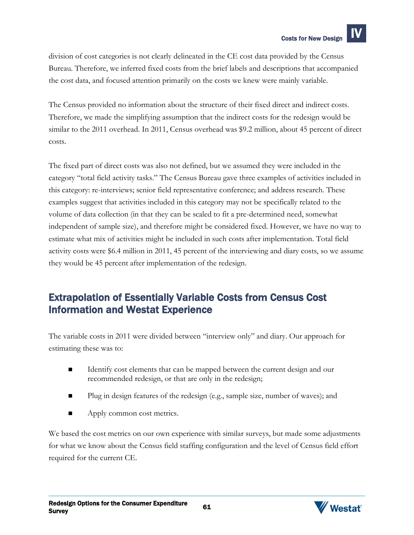division of cost categories is not clearly delineated in the CE cost data provided by the Census Bureau. Therefore, we inferred fixed costs from the brief labels and descriptions that accompanied the cost data, and focused attention primarily on the costs we knew were mainly variable.

The Census provided no information about the structure of their fixed direct and indirect costs. Therefore, we made the simplifying assumption that the indirect costs for the redesign would be similar to the 2011 overhead. In 2011, Census overhead was \$9.2 million, about 45 percent of direct costs.

The fixed part of direct costs was also not defined, but we assumed they were included in the category "total field activity tasks." The Census Bureau gave three examples of activities included in this category: re-interviews; senior field representative conference; and address research. These examples suggest that activities included in this category may not be specifically related to the volume of data collection (in that they can be scaled to fit a pre-determined need, somewhat independent of sample size), and therefore might be considered fixed. However, we have no way to estimate what mix of activities might be included in such costs after implementation. Total field activity costs were \$6.4 million in 2011, 45 percent of the interviewing and diary costs, so we assume they would be 45 percent after implementation of the redesign.

## Extrapolation of Essentially Variable Costs from Census Cost Information and Westat Experience

The variable costs in 2011 were divided between "interview only" and diary. Our approach for estimating these was to:

- If dentify cost elements that can be mapped between the current design and our recommended redesign, or that are only in the redesign;
- Plug in design features of the redesign (e.g., sample size, number of waves); and
- Apply common cost metrics.

We based the cost metrics on our own experience with similar surveys, but made some adjustments for what we know about the Census field staffing configuration and the level of Census field effort required for the current CE.

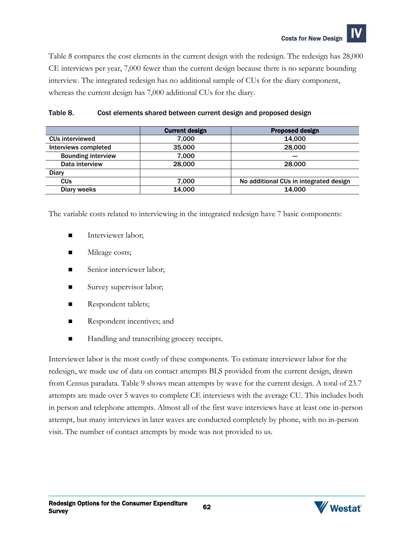Table 8 compares the cost elements in the current design with the redesign. The redesign has 28,000 CE interviews per year, 7,000 fewer than the current design because there is no separate bounding interview. The integrated redesign has no additional sample of CUs for the diary component, whereas the current design has 7,000 additional CUs for the diary.

| Table 8. | Cost elements shared between current design and proposed design |
|----------|-----------------------------------------------------------------|
|----------|-----------------------------------------------------------------|

|                           | <b>Current design</b> | <b>Proposed design</b>                 |
|---------------------------|-----------------------|----------------------------------------|
| <b>CUs interviewed</b>    | 7.000                 | 14.000                                 |
| Interviews completed      | 35,000                | 28,000                                 |
| <b>Bounding interview</b> | 7,000                 |                                        |
| Data interview            | 28,000                | 28,000                                 |
| Diary                     |                       |                                        |
| <b>CU<sub>s</sub></b>     | 7.000                 | No additional CUs in integrated design |
| Diary weeks               | 14.000                | 14.000                                 |

The variable costs related to interviewing in the integrated redesign have 7 basic components:

- Interviewer labor;
- Mileage costs;
- Senior interviewer labor;
- Survey supervisor labor;
- Respondent tablets;
- Respondent incentives; and
- Handling and transcribing grocery receipts.

Interviewer labor is the most costly of these components. To estimate interviewer labor for the redesign, we made use of data on contact attempts BLS provided from the current design, drawn from Census paradata. Table 9 shows mean attempts by wave for the current design. A total of 23.7 attempts are made over 5 waves to complete CE interviews with the average CU. This includes both in person and telephone attempts. Almost all of the first wave interviews have at least one in-person attempt, but many interviews in later waves are conducted completely by phone, with no in-person visit. The number of contact attempts by mode was not provided to us.

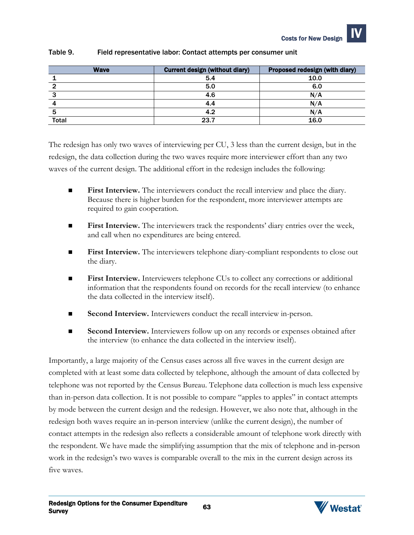| <b>Wave</b>  | <b>Current design (without diary)</b> | Proposed redesign (with diary) |
|--------------|---------------------------------------|--------------------------------|
|              | 5.4                                   | 10.0                           |
|              | 5.0                                   | 6.0                            |
|              | 4.6                                   | N/A                            |
|              | 4.4                                   | N/A                            |
|              | 4.2                                   | N/A                            |
| <b>Total</b> | 23.7                                  | 16.0                           |

#### Table 9. Field representative labor: Contact attempts per consumer unit

The redesign has only two waves of interviewing per CU, 3 less than the current design, but in the redesign, the data collection during the two waves require more interviewer effort than any two waves of the current design. The additional effort in the redesign includes the following:

- **First Interview.** The interviewers conduct the recall interview and place the diary. Because there is higher burden for the respondent, more interviewer attempts are required to gain cooperation.
- **First Interview.** The interviewers track the respondents' diary entries over the week, and call when no expenditures are being entered.
- First Interview. The interviewers telephone diary-compliant respondents to close out the diary.
- **First Interview.** Interviewers telephone CUs to collect any corrections or additional information that the respondents found on records for the recall interview (to enhance the data collected in the interview itself).
- **Second Interview.** Interviewers conduct the recall interview in-person.
- **Second Interview.** Interviewers follow up on any records or expenses obtained after the interview (to enhance the data collected in the interview itself).

Importantly, a large majority of the Census cases across all five waves in the current design are completed with at least some data collected by telephone, although the amount of data collected by telephone was not reported by the Census Bureau. Telephone data collection is much less expensive than in-person data collection. It is not possible to compare "apples to apples" in contact attempts by mode between the current design and the redesign. However, we also note that, although in the redesign both waves require an in-person interview (unlike the current design), the number of contact attempts in the redesign also reflects a considerable amount of telephone work directly with the respondent. We have made the simplifying assumption that the mix of telephone and in-person work in the redesign's two waves is comparable overall to the mix in the current design across its five waves.

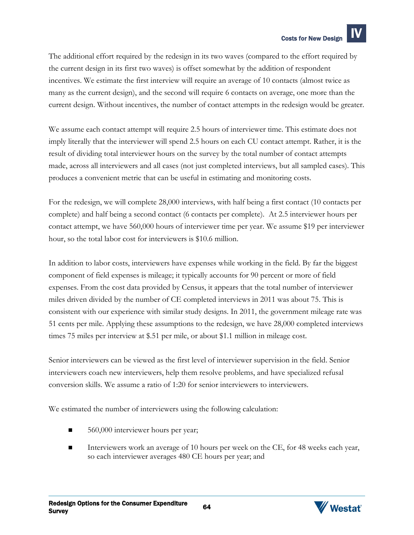The additional effort required by the redesign in its two waves (compared to the effort required by the current design in its first two waves) is offset somewhat by the addition of respondent incentives. We estimate the first interview will require an average of 10 contacts (almost twice as many as the current design), and the second will require 6 contacts on average, one more than the current design. Without incentives, the number of contact attempts in the redesign would be greater.

We assume each contact attempt will require 2.5 hours of interviewer time. This estimate does not imply literally that the interviewer will spend 2.5 hours on each CU contact attempt. Rather, it is the result of dividing total interviewer hours on the survey by the total number of contact attempts made, across all interviewers and all cases (not just completed interviews, but all sampled cases). This produces a convenient metric that can be useful in estimating and monitoring costs.

For the redesign, we will complete 28,000 interviews, with half being a first contact (10 contacts per complete) and half being a second contact (6 contacts per complete). At 2.5 interviewer hours per contact attempt, we have 560,000 hours of interviewer time per year. We assume \$19 per interviewer hour, so the total labor cost for interviewers is \$10.6 million.

In addition to labor costs, interviewers have expenses while working in the field. By far the biggest component of field expenses is mileage; it typically accounts for 90 percent or more of field expenses. From the cost data provided by Census, it appears that the total number of interviewer miles driven divided by the number of CE completed interviews in 2011 was about 75. This is consistent with our experience with similar study designs. In 2011, the government mileage rate was 51 cents per mile. Applying these assumptions to the redesign, we have 28,000 completed interviews times 75 miles per interview at \$.51 per mile, or about \$1.1 million in mileage cost.

Senior interviewers can be viewed as the first level of interviewer supervision in the field. Senior interviewers coach new interviewers, help them resolve problems, and have specialized refusal conversion skills. We assume a ratio of 1:20 for senior interviewers to interviewers.

We estimated the number of interviewers using the following calculation:

- 560,000 interviewer hours per year;
- Interviewers work an average of 10 hours per week on the CE, for 48 weeks each year, so each interviewer averages 480 CE hours per year; and

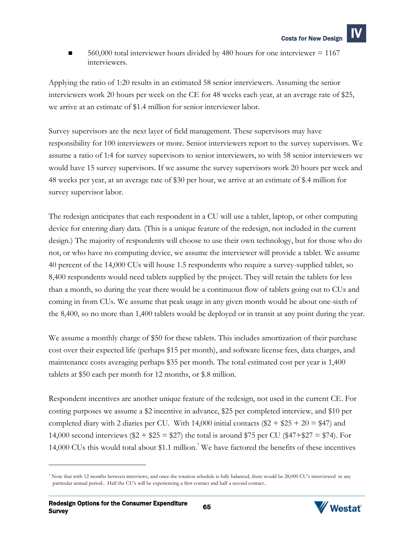$\Box$  560,000 total interviewer hours divided by 480 hours for one interviewer = 1167 interviewers.

Applying the ratio of 1:20 results in an estimated 58 senior interviewers. Assuming the senior interviewers work 20 hours per week on the CE for 48 weeks each year, at an average rate of \$25, we arrive at an estimate of \$1.4 million for senior interviewer labor.

Survey supervisors are the next layer of field management. These supervisors may have responsibility for 100 interviewers or more. Senior interviewers report to the survey supervisors. We assume a ratio of 1:4 for survey supervisors to senior interviewers, so with 58 senior interviewers we would have 15 survey supervisors. If we assume the survey supervisors work 20 hours per week and 48 weeks per year, at an average rate of \$30 per hour, we arrive at an estimate of \$.4 million for survey supervisor labor.

The redesign anticipates that each respondent in a CU will use a tablet, laptop, or other computing device for entering diary data. (This is a unique feature of the redesign, not included in the current design.) The majority of respondents will choose to use their own technology, but for those who do not, or who have no computing device, we assume the interviewer will provide a tablet. We assume 40 percent of the 14,000 CUs will house 1.5 respondents who require a survey-supplied tablet, so 8,400 respondents would need tablets supplied by the project. They will retain the tablets for less than a month, so during the year there would be a continuous flow of tablets going out to CUs and coming in from CUs. We assume that peak usage in any given month would be about one-sixth of the 8,400, so no more than 1,400 tablets would be deployed or in transit at any point during the year.

We assume a monthly charge of \$50 for these tablets. This includes amortization of their purchase cost over their expected life (perhaps \$15 per month), and software license fees, data charges, and maintenance costs averaging perhaps \$35 per month. The total estimated cost per year is 1,400 tablets at \$50 each per month for 12 months, or \$.8 million.

Respondent incentives are another unique feature of the redesign, not used in the current CE. For costing purposes we assume a \$2 incentive in advance, \$25 per completed interview, and \$10 per completed diary with 2 diaries per CU. With 14,000 initial contacts ( $$2 + $25 + 20 = $47$ ) and 14,000 second interviews (\$2 + \$25 = \$27) the total is around \$75 per CU (\$47+\$27 = \$74). For 14,000 CUs this would total about \$1.1 million.<sup>7</sup> We have factored the benefits of these incentives

 $\overline{a}$ 



<sup>&</sup>lt;sup>7</sup> Note that with 12 months between interviews, and once the rotation schedule is fully balanced, there would be 28,000 CU's interviewed in any particular annual period.. Half the CU's will be experiencing a first contact and half a second contact..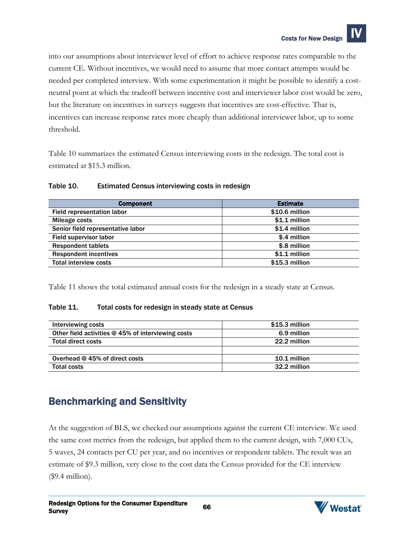into our assumptions about interviewer level of effort to achieve response rates comparable to the current CE. Without incentives, we would need to assume that more contact attempts would be needed per completed interview. With some experimentation it might be possible to identify a costneutral point at which the tradeoff between incentive cost and interviewer labor cost would be zero, but the literature on incentives in surveys suggests that incentives are cost-effective. That is, incentives can increase response rates more cheaply than additional interviewer labor, up to some threshold.

Table 10 summarizes the estimated Census interviewing costs in the redesign. The total cost is estimated at \$15.3 million.

| Table 10. | Estimated Census interviewing costs in redesign |
|-----------|-------------------------------------------------|
|-----------|-------------------------------------------------|

| <b>Component</b>                  | <b>Estimate</b> |
|-----------------------------------|-----------------|
| <b>Field representation labor</b> | \$10.6 million  |
| Mileage costs                     | \$1.1 million   |
| Senior field representative labor | \$1.4 million   |
| Field supervisor labor            | \$.4 million    |
| <b>Respondent tablets</b>         | \$.8 million    |
| <b>Respondent incentives</b>      | \$1.1 million   |
| <b>Total interview costs</b>      | \$15.3 million  |

Table 11 shows the total estimated annual costs for the redesign in a steady state at Census.

#### Table 11. Total costs for redesign in steady state at Census

| Interviewing costs                                   | \$15.3 million |
|------------------------------------------------------|----------------|
| Other field activities $@$ 45% of interviewing costs | 6.9 million    |
| <b>Total direct costs</b>                            | 22.2 million   |
|                                                      |                |
| Overhead $@$ 45% of direct costs                     | 10.1 million   |
| <b>Total costs</b>                                   | 32.2 million   |

## Benchmarking and Sensitivity

At the suggestion of BLS, we checked our assumptions against the current CE interview. We used the same cost metrics from the redesign, but applied them to the current design, with 7,000 CUs, 5 waves, 24 contacts per CU per year, and no incentives or respondent tablets. The result was an estimate of \$9.3 million, very close to the cost data the Census provided for the CE interview (\$9.4 million).

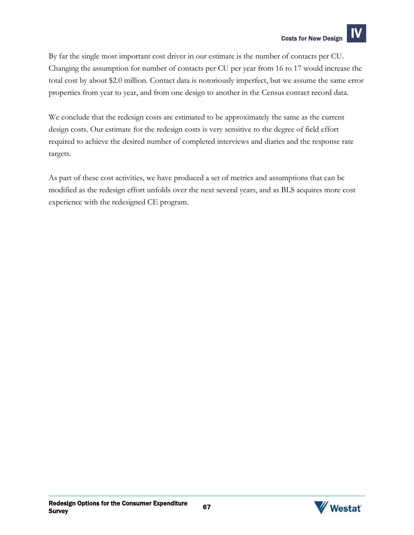#### Costs for New Design IV

By far the single most important cost driver in our estimate is the number of contacts per CU. Changing the assumption for number of contacts per CU per year from 16 to 17 would increase the total cost by about \$2.0 million. Contact data is notoriously imperfect, but we assume the same error properties from year to year, and from one design to another in the Census contact record data.

We conclude that the redesign costs are estimated to be approximately the same as the current design costs. Our estimate for the redesign costs is very sensitive to the degree of field effort required to achieve the desired number of completed interviews and diaries and the response rate targets.

As part of these cost activities, we have produced a set of metrics and assumptions that can be modified as the redesign effort unfolds over the next several years, and as BLS acquires more cost experience with the redesigned CE program.

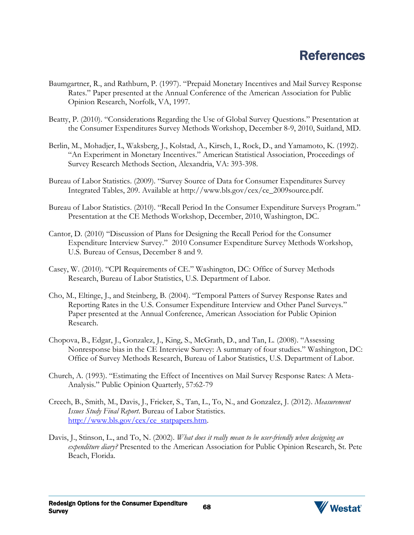## References

- Baumgartner, R., and Rathburn, P. (1997). "Prepaid Monetary Incentives and Mail Survey Response Rates." Paper presented at the Annual Conference of the American Association for Public Opinion Research, Norfolk, VA, 1997.
- Beatty, P. (2010). "Considerations Regarding the Use of Global Survey Questions." Presentation at the Consumer Expenditures Survey Methods Workshop, December 8-9, 2010, Suitland, MD.
- Berlin, M., Mohadjer, L, Waksberg, J., Kolstad, A., Kirsch, I., Rock, D., and Yamamoto, K. (1992). "An Experiment in Monetary Incentives." American Statistical Association, Proceedings of Survey Research Methods Section, Alexandria, VA: 393-398.
- Bureau of Labor Statistics. (2009). "Survey Source of Data for Consumer Expenditures Survey Integrated Tables, 209. Available at [http://www.bls.gov/cex/ce\\_2009source.pdf.](http://www.bls.gov/cex/ce_2009source.pdf)
- Bureau of Labor Statistics. (2010). "Recall Period In the Consumer Expenditure Surveys Program." Presentation at the CE Methods Workshop, December, 2010, Washington, DC.
- Cantor, D. (2010) "Discussion of Plans for Designing the Recall Period for the Consumer Expenditure Interview Survey." 2010 Consumer Expenditure Survey Methods Workshop, U.S. Bureau of Census, December 8 and 9.
- Casey, W. (2010). "CPI Requirements of CE." Washington, DC: Office of Survey Methods Research, Bureau of Labor Statistics, U.S. Department of Labor.
- Cho, M., Eltinge, J., and Steinberg, B. (2004). "Temporal Patters of Survey Response Rates and Reporting Rates in the U.S. Consumer Expenditure Interview and Other Panel Surveys." Paper presented at the Annual Conference, American Association for Public Opinion Research.
- Chopova, B., Edgar, J., Gonzalez, J., King, S., McGrath, D., and Tan, L. (2008). "Assessing Nonresponse bias in the CE Interview Survey: A summary of four studies." Washington, DC: Office of Survey Methods Research, Bureau of Labor Statistics, U.S. Department of Labor.
- Church, A. (1993). "Estimating the Effect of Incentives on Mail Survey Response Rates: A Meta-Analysis." Public Opinion Quarterly, 57:62-79
- Creech, B., Smith, M., Davis, J., Fricker, S., Tan, L., To, N., and Gonzalez, J. (2012). *Measurement Issues Study Final Report*. Bureau of Labor Statistics. [http://www.bls.gov/cex/ce\\_statpapers.htm.](http://www.bls.gov/cex/ce_statpapers.htm)
- Davis, J., Stinson, L., and To, N. (2002). *What does it really mean to be user-friendly when designing an expenditure diary?* Presented to the American Association for Public Opinion Research, St. Pete Beach, Florida.

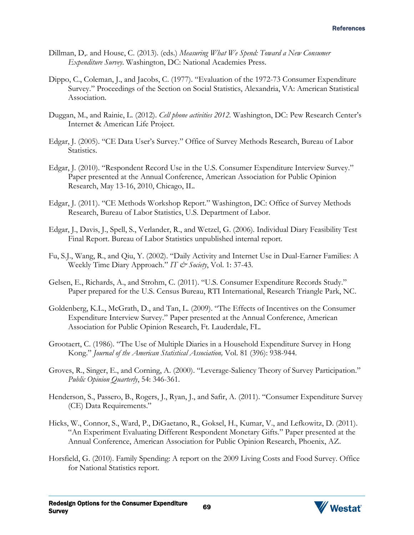- Dillman, D,. and House, C. (2013). (eds.) *Measuring What We Spend: Toward a New Consumer Expenditure Survey*. Washington, DC: National Academies Press.
- Dippo, C., Coleman, J., and Jacobs, C. (1977). "Evaluation of the 1972-73 Consumer Expenditure Survey." Proceedings of the Section on Social Statistics, Alexandria, VA: American Statistical Association.
- Duggan, M., and Rainie, L. (2012). *Cell phone activities 2012.* Washington, DC: Pew Research Center's Internet & American Life Project.
- Edgar, J. (2005). "CE Data User's Survey." Office of Survey Methods Research, Bureau of Labor Statistics.
- Edgar, J. (2010). "Respondent Record Use in the U.S. Consumer Expenditure Interview Survey." Paper presented at the Annual Conference, American Association for Public Opinion Research, May 13-16, 2010, Chicago, IL.
- Edgar, J. (2011). "CE Methods Workshop Report." Washington, DC: Office of Survey Methods Research, Bureau of Labor Statistics, U.S. Department of Labor.
- Edgar, J., Davis, J., Spell, S., Verlander, R., and Wetzel, G. (2006). Individual Diary Feasibility Test Final Report. Bureau of Labor Statistics unpublished internal report.
- Fu, S.J., Wang, R., and Qiu, Y. (2002). "Daily Activity and Internet Use in Dual-Earner Families: A Weekly Time Diary Approach." *IT & Society*, Vol. 1: 37-43.
- Gelsen, E., Richards, A., and Strohm, C. (2011). "U.S. Consumer Expenditure Records Study." Paper prepared for the U.S. Census Bureau, RTI International, Research Triangle Park, NC.
- Goldenberg, K.L., McGrath, D., and Tan, L. (2009). "The Effects of Incentives on the Consumer Expenditure Interview Survey." Paper presented at the Annual Conference, American Association for Public Opinion Research, Ft. Lauderdale, FL.
- Grootaert, C. (1986). "The Use of Multiple Diaries in a Household Expenditure Survey in Hong Kong." *Journal of the American Statistical Association,* Vol. 81 (396): 938-944.
- Groves, R., Singer, E., and Corning, A. (2000). "Leverage-Saliency Theory of Survey Participation." *Public Opinion Quarterly*, 54: 346-361.
- Henderson, S., Passero, B., Rogers, J., Ryan, J., and Safir, A. (2011). "Consumer Expenditure Survey (CE) Data Requirements."
- Hicks, W., Connor, S., Ward, P., DiGaetano, R., Goksel, H., Kumar, V., and Lefkowitz, D. (2011). "An Experiment Evaluating Different Respondent Monetary Gifts." Paper presented at the Annual Conference, American Association for Public Opinion Research, Phoenix, AZ.
- Horsfield, G. (2010). Family Spending: A report on the 2009 Living Costs and Food Survey. Office for National Statistics report.

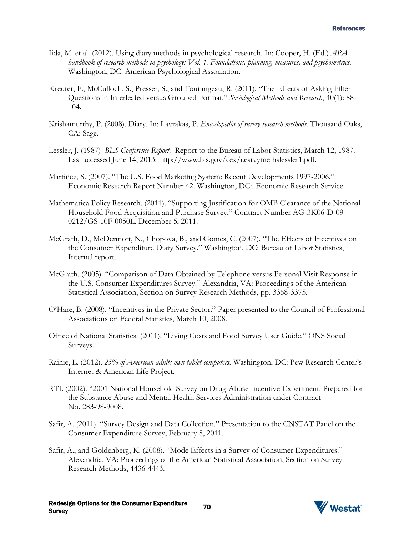- Iida, M. et al. (2012). Using diary methods in psychological research. In: Cooper, H. (Ed.) *APA handbook of research methods in psychology: Vol. 1. Foundations, planning, measures, and psychometrics.*  Washington, DC: American Psychological Association.
- Kreuter, F., McCulloch, S., Presser, S., and Tourangeau, R. (2011). "The Effects of Asking Filter Questions in Interleafed versus Grouped Format." *Sociological Methods and Research*, 40(1): 88- 104.
- Krishamurthy, P. (2008). Diary. In: Lavrakas, P. *Encyclopedia of survey research methods.* Thousand Oaks, CA: Sage.
- Lessler, J. (1987) *BLS Conference Report*. Report to the Bureau of Labor Statistics, March 12, 1987. Last accessed June 14, 2013: http://www.bls.gov/cex/cesrvymethslessler1.pdf.
- Martinez, S. (2007). "The U.S. Food Marketing System: Recent Developments 1997-2006." Economic Research Report Number 42. Washington, DC:. Economic Research Service.
- Mathematica Policy Research. (2011). "Supporting Justification for OMB Clearance of the National Household Food Acquisition and Purchase Survey." Contract Number AG-3K06-D-09- 0212/GS-10F-0050L. December 5, 2011.
- McGrath, D., McDermott, N., Chopova, B., and Gomes, C. (2007). "The Effects of Incentives on the Consumer Expenditure Diary Survey." Washington, DC: Bureau of Labor Statistics, Internal report.
- McGrath. (2005). "Comparison of Data Obtained by Telephone versus Personal Visit Response in the U.S. Consumer Expenditures Survey." Alexandria, VA: Proceedings of the American Statistical Association, Section on Survey Research Methods, pp. 3368-3375.
- O'Hare, B. (2008). "Incentives in the Private Sector." Paper presented to the Council of Professional Associations on Federal Statistics, March 10, 2008.
- Office of National Statistics. (2011). "Living Costs and Food Survey User Guide." ONS Social Surveys.
- Rainie, L. (2012). *25% of American adults own tablet computers.* Washington, DC: Pew Research Center's Internet & American Life Project.
- RTI. (2002). "2001 National Household Survey on Drug-Abuse Incentive Experiment. Prepared for the Substance Abuse and Mental Health Services Administration under Contract No. 283-98-9008.
- Safir, A. (2011). "Survey Design and Data Collection." Presentation to the CNSTAT Panel on the Consumer Expenditure Survey, February 8, 2011.
- Safir, A., and Goldenberg, K. (2008). "Mode Effects in a Survey of Consumer Expenditures." Alexandria, VA: Proceedings of the American Statistical Association, Section on Survey Research Methods, 4436-4443.